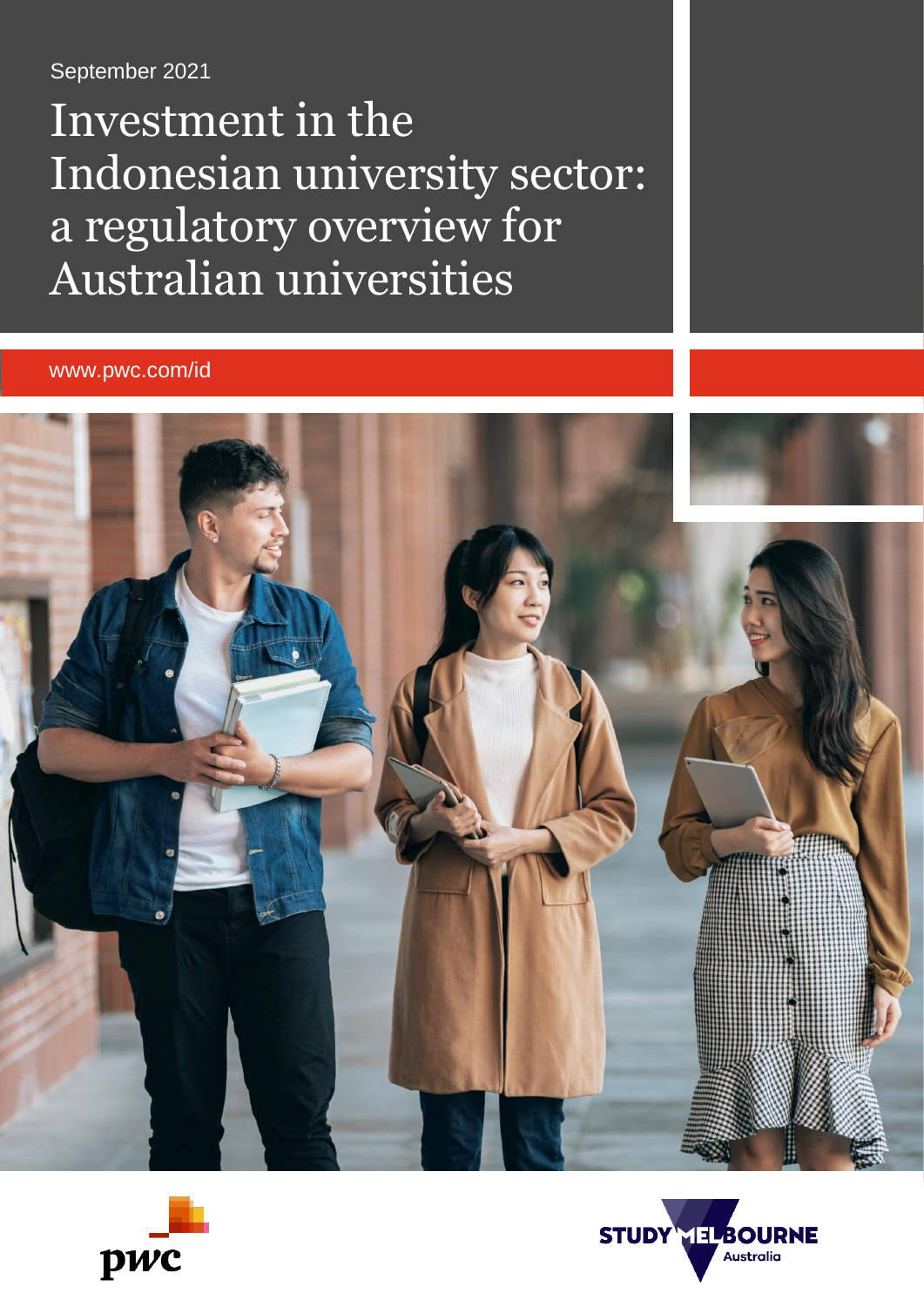### September 2021

Investment in the Indonesian university sector: a regulatory overview for Australian universities

www.pwc.com/id





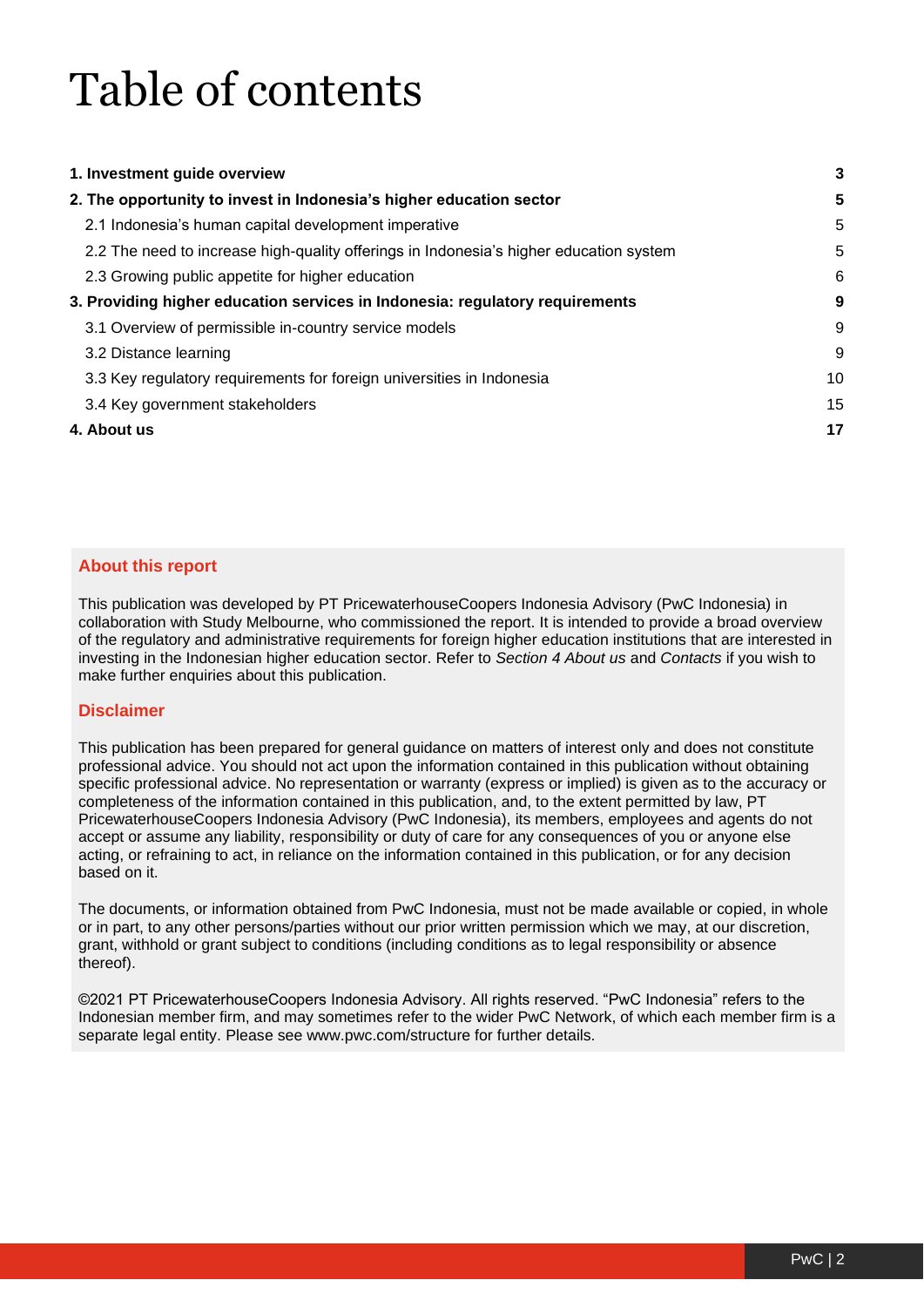# Table of contents

| 1. Investment guide overview                                                           | 3  |
|----------------------------------------------------------------------------------------|----|
| 2. The opportunity to invest in Indonesia's higher education sector                    | 5  |
| 2.1 Indonesia's human capital development imperative                                   | 5  |
| 2.2 The need to increase high-quality offerings in Indonesia's higher education system | 5  |
| 2.3 Growing public appetite for higher education                                       | 6  |
| 3. Providing higher education services in Indonesia: regulatory requirements           | 9  |
| 3.1 Overview of permissible in-country service models                                  | 9  |
| 3.2 Distance learning                                                                  | 9  |
| 3.3 Key regulatory requirements for foreign universities in Indonesia                  | 10 |
| 3.4 Key government stakeholders                                                        | 15 |
| 4. About us                                                                            | 17 |

#### **About this report**

This publication was developed by PT PricewaterhouseCoopers Indonesia Advisory (PwC Indonesia) in collaboration with Study Melbourne, who commissioned the report. It is intended to provide a broad overview of the regulatory and administrative requirements for foreign higher education institutions that are interested in investing in the Indonesian higher education sector. Refer to *Section 4 About us* and *Contacts* if you wish to make further enquiries about this publication.

#### **Disclaimer**

This publication has been prepared for general guidance on matters of interest only and does not constitute professional advice. You should not act upon the information contained in this publication without obtaining specific professional advice. No representation or warranty (express or implied) is given as to the accuracy or completeness of the information contained in this publication, and, to the extent permitted by law, PT PricewaterhouseCoopers Indonesia Advisory (PwC Indonesia), its members, employees and agents do not accept or assume any liability, responsibility or duty of care for any consequences of you or anyone else acting, or refraining to act, in reliance on the information contained in this publication, or for any decision based on it.

The documents, or information obtained from PwC Indonesia, must not be made available or copied, in whole or in part, to any other persons/parties without our prior written permission which we may, at our discretion, grant, withhold or grant subject to conditions (including conditions as to legal responsibility or absence thereof).

©2021 PT PricewaterhouseCoopers Indonesia Advisory. All rights reserved. "PwC Indonesia" refers to the Indonesian member firm, and may sometimes refer to the wider PwC Network, of which each member firm is a separate legal entity. Please see www.pwc.com/structure for further details.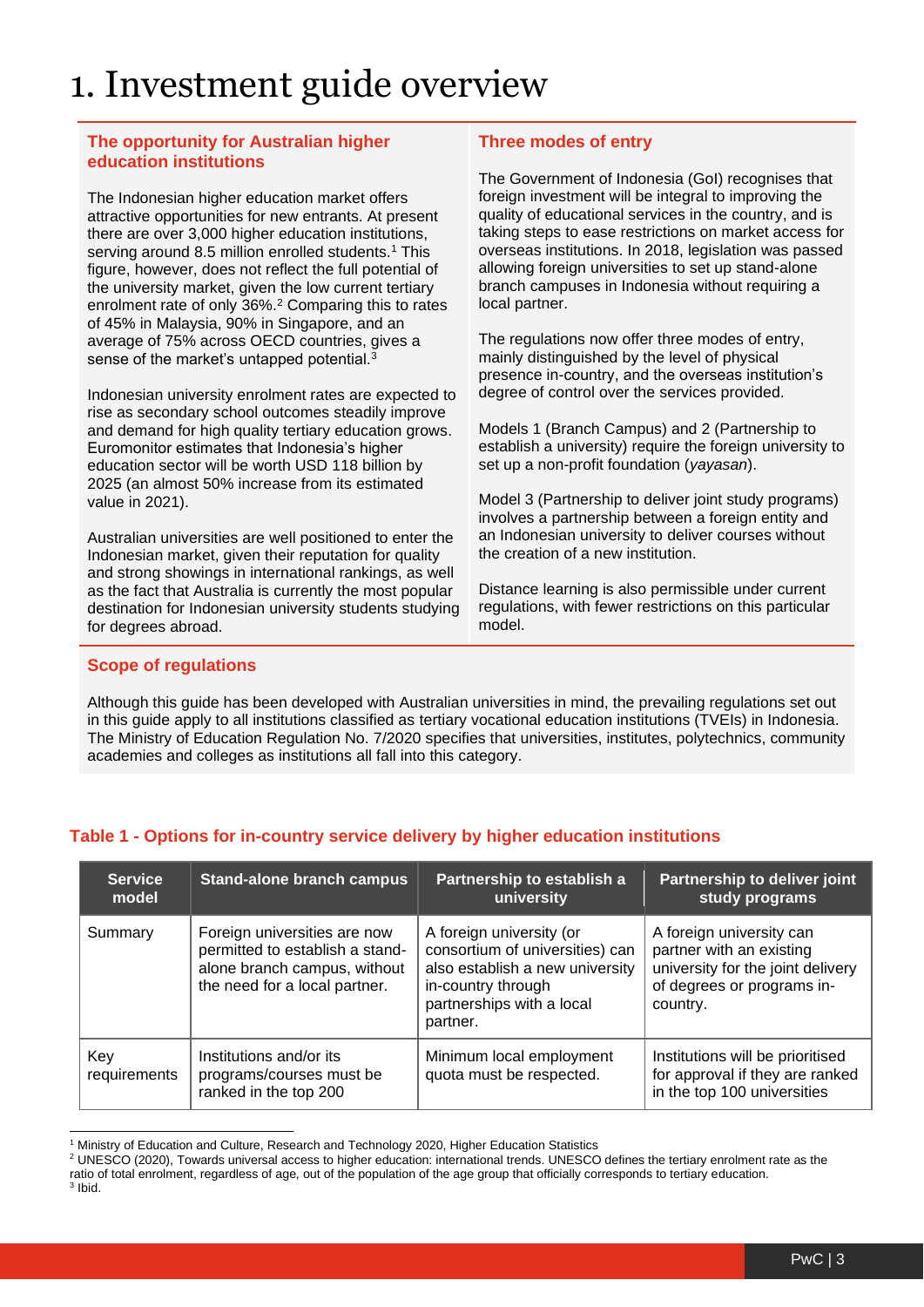### <span id="page-2-0"></span>1. Investment guide overview

#### **The opportunity for Australian higher education institutions**

The Indonesian higher education market offers attractive opportunities for new entrants. At present there are over 3,000 higher education institutions, serving around 8.5 million enrolled students.<sup>1</sup> This figure, however, does not reflect the full potential of the university market, given the low current tertiary enrolment rate of only 36%.<sup>2</sup> Comparing this to rates of 45% in Malaysia, 90% in Singapore, and an average of 75% across OECD countries, gives a sense of the market's untapped potential.<sup>3</sup>

Indonesian university enrolment rates are expected to rise as secondary school outcomes steadily improve and demand for high quality tertiary education grows. Euromonitor estimates that Indonesia's higher education sector will be worth USD 118 billion by 2025 (an almost 50% increase from its estimated value in 2021).

Australian universities are well positioned to enter the Indonesian market, given their reputation for quality and strong showings in international rankings, as well as the fact that Australia is currently the most popular destination for Indonesian university students studying for degrees abroad.

#### **Three modes of entry**

The Government of Indonesia (GoI) recognises that foreign investment will be integral to improving the quality of educational services in the country, and is taking steps to ease restrictions on market access for overseas institutions. In 2018, legislation was passed allowing foreign universities to set up stand-alone branch campuses in Indonesia without requiring a local partner.

The regulations now offer three modes of entry, mainly distinguished by the level of physical presence in-country, and the overseas institution's degree of control over the services provided.

Models 1 (Branch Campus) and 2 (Partnership to establish a university) require the foreign university to set up a non-profit foundation (*yayasan*).

Model 3 (Partnership to deliver joint study programs) involves a partnership between a foreign entity and an Indonesian university to deliver courses without the creation of a new institution.

Distance learning is also permissible under current regulations, with fewer restrictions on this particular model.

#### **Scope of regulations**

Although this guide has been developed with Australian universities in mind, the prevailing regulations set out in this guide apply to all institutions classified as tertiary vocational education institutions (TVEIs) in Indonesia. The Ministry of Education Regulation No. 7/2020 specifies that universities, institutes, polytechnics, community academies and colleges as institutions all fall into this category.

| <b>Service</b><br>model | <b>Stand-alone branch campus</b>                                                                                                 | Partnership to establish a<br>university                                                                                                                      | Partnership to deliver joint<br>study programs                                                                                      |
|-------------------------|----------------------------------------------------------------------------------------------------------------------------------|---------------------------------------------------------------------------------------------------------------------------------------------------------------|-------------------------------------------------------------------------------------------------------------------------------------|
| Summary                 | Foreign universities are now<br>permitted to establish a stand-<br>alone branch campus, without<br>the need for a local partner. | A foreign university (or<br>consortium of universities) can<br>also establish a new university<br>in-country through<br>partnerships with a local<br>partner. | A foreign university can<br>partner with an existing<br>university for the joint delivery<br>of degrees or programs in-<br>country. |
| Key<br>requirements     | Institutions and/or its<br>programs/courses must be<br>ranked in the top 200                                                     | Minimum local employment<br>quota must be respected.                                                                                                          | Institutions will be prioritised<br>for approval if they are ranked<br>in the top 100 universities                                  |

#### **Table 1 - Options for in-country service delivery by higher education institutions**

<sup>&</sup>lt;sup>1</sup> Ministry of Education and Culture, Research and Technology 2020, Higher Education Statistics

<sup>2</sup> UNESCO (2020), Towards universal access to [higher education: international trends.](https://www.iesalc.unesco.org/en/wp-content/uploads/2020/11/Towards-Universal-Access-to-HE-Report.pdf) UNESCO defines the tertiary enrolment rate as the ratio of total enrolment, regardless of age, out of the population of the age group that officially corresponds to tertiary education. 3 Ibid.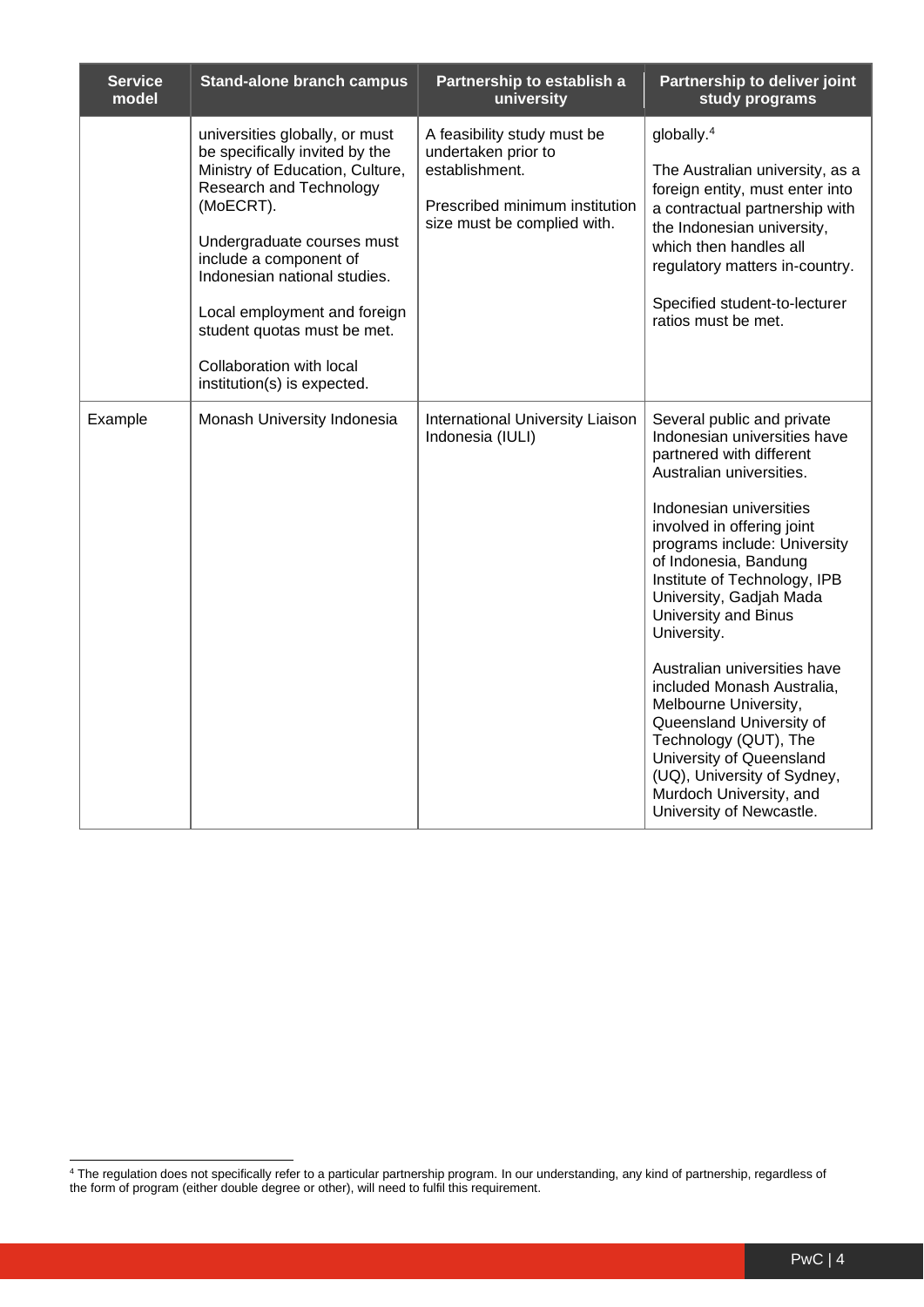| <b>Service</b><br>model | <b>Stand-alone branch campus</b>                                                                                                                                                                                                                                                                                                                              | Partnership to establish a<br>university                                                                                              | Partnership to deliver joint<br>study programs                                                                                                                                                                                                                                                                                                                                                                                                                                                                                                                                                              |
|-------------------------|---------------------------------------------------------------------------------------------------------------------------------------------------------------------------------------------------------------------------------------------------------------------------------------------------------------------------------------------------------------|---------------------------------------------------------------------------------------------------------------------------------------|-------------------------------------------------------------------------------------------------------------------------------------------------------------------------------------------------------------------------------------------------------------------------------------------------------------------------------------------------------------------------------------------------------------------------------------------------------------------------------------------------------------------------------------------------------------------------------------------------------------|
|                         | universities globally, or must<br>be specifically invited by the<br>Ministry of Education, Culture,<br>Research and Technology<br>(MoECRT).<br>Undergraduate courses must<br>include a component of<br>Indonesian national studies.<br>Local employment and foreign<br>student quotas must be met.<br>Collaboration with local<br>institution(s) is expected. | A feasibility study must be<br>undertaken prior to<br>establishment.<br>Prescribed minimum institution<br>size must be complied with. | globally. <sup>4</sup><br>The Australian university, as a<br>foreign entity, must enter into<br>a contractual partnership with<br>the Indonesian university,<br>which then handles all<br>regulatory matters in-country.<br>Specified student-to-lecturer<br>ratios must be met.                                                                                                                                                                                                                                                                                                                            |
| Example                 | Monash University Indonesia                                                                                                                                                                                                                                                                                                                                   | <b>International University Liaison</b><br>Indonesia (IULI)                                                                           | Several public and private<br>Indonesian universities have<br>partnered with different<br>Australian universities.<br>Indonesian universities<br>involved in offering joint<br>programs include: University<br>of Indonesia, Bandung<br>Institute of Technology, IPB<br>University, Gadjah Mada<br><b>University and Binus</b><br>University.<br>Australian universities have<br>included Monash Australia,<br>Melbourne University,<br>Queensland University of<br>Technology (QUT), The<br>University of Queensland<br>(UQ), University of Sydney,<br>Murdoch University, and<br>University of Newcastle. |

<sup>4</sup> The regulation does not specifically refer to a particular partnership program. In our understanding, any kind of partnership, regardless of the form of program (either double degree or other), will need to fulfil this requirement.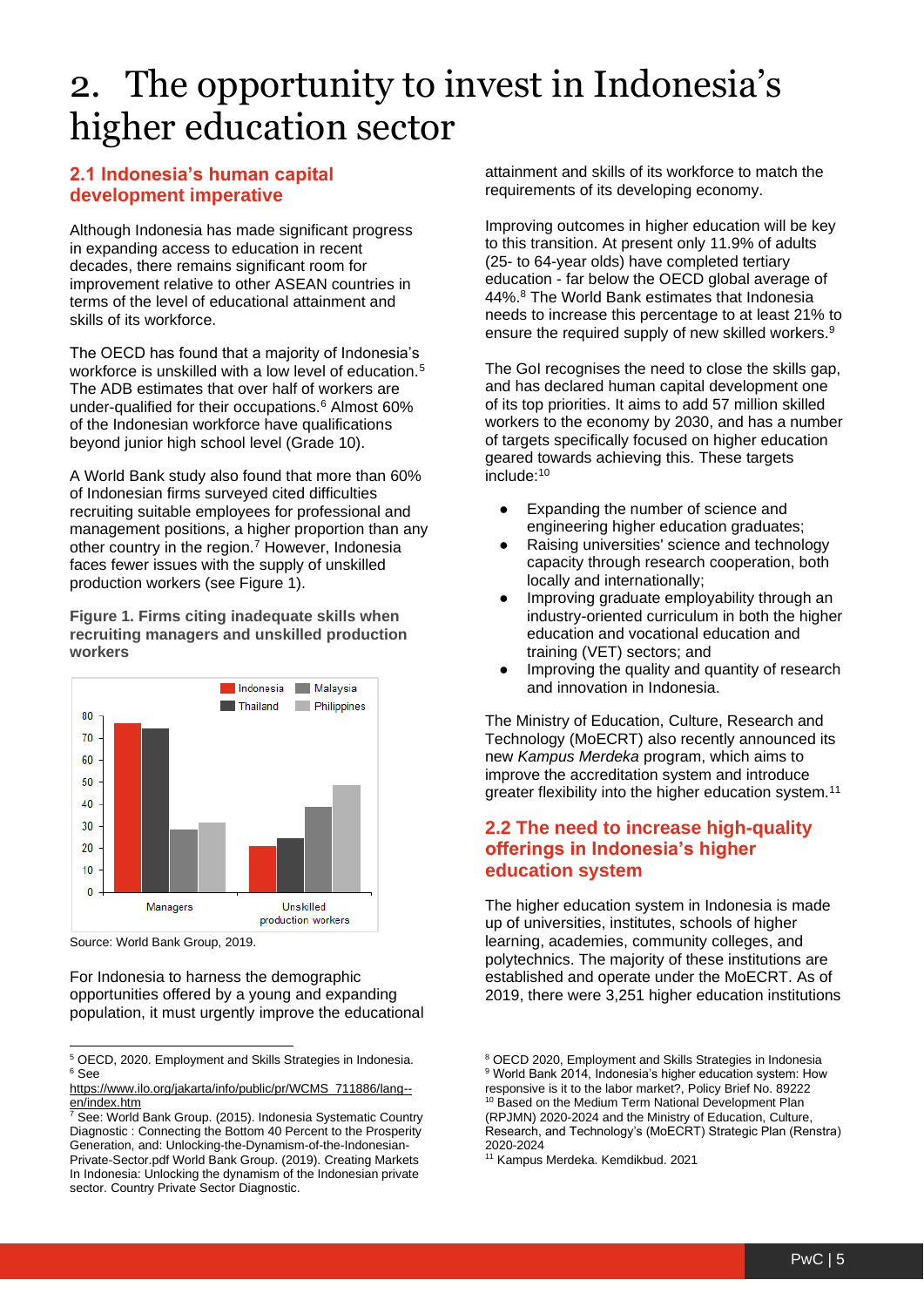### <span id="page-4-0"></span>2. The opportunity to invest in Indonesia's higher education sector

#### **2.1 Indonesia's human capital development imperative**

Although Indonesia has made significant progress in expanding access to education in recent decades, there remains significant room for improvement relative to other ASEAN countries in terms of the level of educational attainment and skills of its workforce.

The OECD has found that a majority of Indonesia's workforce is unskilled with a low level of education.<sup>5</sup> The ADB estimates that over half of workers are under-qualified for their occupations.<sup>6</sup> Almost 60% of the Indonesian workforce have qualifications beyond junior high school level (Grade 10).

A World Bank study also found that more than 60% of Indonesian firms surveyed cited difficulties recruiting suitable employees for professional and management positions, a higher proportion than any other country in the region.<sup>7</sup> However, Indonesia faces fewer issues with the supply of unskilled production workers (see Figure 1).

**Figure 1. Firms citing inadequate skills when recruiting managers and unskilled production workers**



Source: World Bank Group, 2019.

For Indonesia to harness the demographic opportunities offered by a young and expanding population, it must urgently improve the educational attainment and skills of its workforce to match the requirements of its developing economy.

Improving outcomes in higher education will be key to this transition. At present only 11.9% of adults (25- to 64-year olds) have completed tertiary education - far below the OECD global average of 44%.<sup>8</sup> The World Bank estimates that Indonesia needs to increase this percentage to at least 21% to ensure the required supply of new skilled workers.<sup>9</sup>

The GoI recognises the need to close the skills gap. and has declared human capital development one of its top priorities. It aims to add 57 million skilled workers to the economy by 2030, and has a number of targets specifically focused on higher education geared towards achieving this. These targets include:<sup>10</sup>

- Expanding the number of science and engineering higher education graduates;
- Raising universities' science and technology capacity through research cooperation, both locally and internationally;
- Improving graduate employability through an industry-oriented curriculum in both the higher education and vocational education and training (VET) sectors; and
- Improving the quality and quantity of research and innovation in Indonesia.

The Ministry of Education, Culture, Research and Technology (MoECRT) also recently announced its new *Kampus Merdeka* program, which aims to improve the accreditation system and introduce greater flexibility into the higher education system.<sup>11</sup>

#### <span id="page-4-1"></span>**2.2 The need to increase high-quality offerings in Indonesia's higher education system**

The higher education system in Indonesia is made up of universities, institutes, schools of higher learning, academies, community colleges, and polytechnics. The majority of these institutions are established and operate under the MoECRT. As of 2019, there were 3,251 higher education institutions

<sup>5</sup> OECD, 2020. Employment and Skills Strategies in Indonesia. <sup>6</sup> See

[https://www.ilo.org/jakarta/info/public/pr/WCMS\\_711886/lang-](https://www.ilo.org/jakarta/info/public/pr/WCMS_711886/lang--en/index.htm) [en/index.htm](https://www.ilo.org/jakarta/info/public/pr/WCMS_711886/lang--en/index.htm)

<sup>7</sup> See: World Bank Group. (2015). Indonesia Systematic Country Diagnostic : Connecting the Bottom 40 Percent to the Prosperity Generation, and: Unlocking-the-Dynamism-of-the-Indonesian-Private-Sector.pdf World Bank Group. (2019). Creating Markets In Indonesia: Unlocking the dynamism of the Indonesian private sector. Country Private Sector Diagnostic.

<sup>8</sup> OECD 2020, Employment and Skills Strategies in Indonesia <sup>9</sup> World Bank 2014, Indonesia's higher education system: How

responsive is it to the labor market?, Policy Brief No. 89222 <sup>10</sup> Based on the Medium Term National Development Plan (RPJMN) 2020-2024 and the Ministry of Education, Culture, Research, and Technology's (MoECRT) Strategic Plan (Renstra) 2020-2024

<sup>11</sup> Kampus Merdeka. Kemdikbud. 2021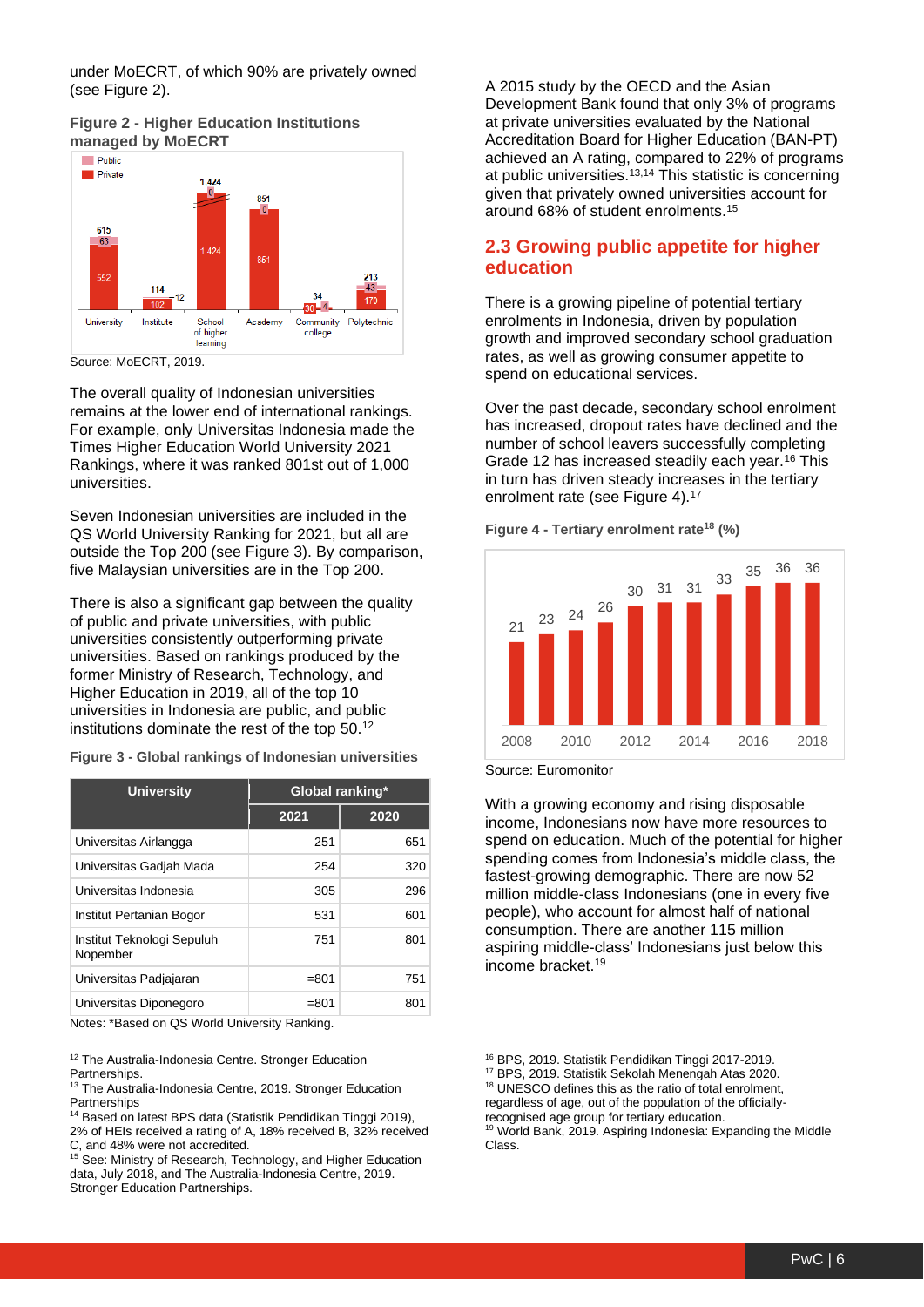under MoECRT, of which 90% are privately owned (see Figure 2).





Source: MoECRT, 2019.

The overall quality of Indonesian universities remains at the lower end of international rankings. For example, only Universitas Indonesia made the Times Higher Education World University 2021 Rankings, where it was ranked 801st out of 1,000 universities.

Seven Indonesian universities are included in the QS World University Ranking for 2021, but all are outside the Top 200 (see Figure 3). By comparison, five Malaysian universities are in the Top 200.

There is also a significant gap between the quality of public and private universities, with public universities consistently outperforming private universities. Based on rankings produced by the former Ministry of Research, Technology, and Higher Education in 2019, all of the top 10 universities in Indonesia are public, and public institutions dominate the rest of the top 50.<sup>12</sup>

**Figure 3 - Global rankings of Indonesian universities**

| <b>University</b>                      | Global ranking* |      |
|----------------------------------------|-----------------|------|
|                                        | 2021            | 2020 |
| Universitas Airlangga                  | 251             | 651  |
| Universitas Gadiah Mada                | 254             | 320  |
| Universitas Indonesia                  | 305             | 296  |
| Institut Pertanian Bogor               | 531             | 601  |
| Institut Teknologi Sepuluh<br>Nopember | 751             | 801  |
| Universitas Padjajaran                 | $= 801$         | 751  |
| Universitas Diponegoro                 | $= 801$         | 801  |

Notes: \*Based on QS World University Ranking.

<sup>12</sup> The Australia-Indonesia Centre. Stronger Education **Partnerships** 

See: Ministry of Research, Technology, and Higher Education data, July 2018, and The Australia-Indonesia Centre, 2019. Stronger Education Partnerships.

A 2015 study by the OECD and the Asian Development Bank found that only 3% of programs at private universities evaluated by the National Accreditation Board for Higher Education (BAN-PT) achieved an A rating, compared to 22% of programs at public universities.13,14 This statistic is concerning given that privately owned universities account for around 68% of student enrolments.<sup>15</sup>

#### <span id="page-5-0"></span>**2.3 Growing public appetite for higher education**

There is a growing pipeline of potential tertiary enrolments in Indonesia, driven by population growth and improved secondary school graduation rates, as well as growing consumer appetite to spend on educational services.

Over the past decade, secondary school enrolment has increased, dropout rates have declined and the number of school leavers successfully completing Grade 12 has increased steadily each year.<sup>16</sup> This in turn has driven steady increases in the tertiary enrolment rate (see Figure 4).<sup>17</sup>



**Figure 4 - Tertiary enrolment rate<sup>18</sup> (%)**

Source: Euromonitor

With a growing economy and rising disposable income, Indonesians now have more resources to spend on education. Much of the potential for higher spending comes from Indonesia's middle class, the fastest-growing demographic. There are now 52 million middle-class Indonesians (one in every five people), who account for almost half of national consumption. There are another 115 million aspiring middle-class' Indonesians just below this income bracket.<sup>19</sup>

recognised age group for tertiary education.

<sup>19</sup> World Bank, 2019. Aspiring Indonesia: Expanding the Middle Class.

<sup>&</sup>lt;sup>13</sup> The Australia-Indonesia Centre, 2019. Stronger Education **Partnerships** 

<sup>&</sup>lt;sup>14</sup> Based on latest BPS data (Statistik Pendidikan Tinggi 2019), 2% of HEIs received a rating of A, 18% received B, 32% received C, and 48% were not accredited.

<sup>16</sup> BPS, 2019. Statistik Pendidikan Tinggi 2017-2019.

<sup>17</sup> BPS, 2019. Statistik Sekolah Menengah Atas 2020.

<sup>&</sup>lt;sup>18</sup> UNESCO defines this as the ratio of total enrolment, regardless of age, out of the population of the officially-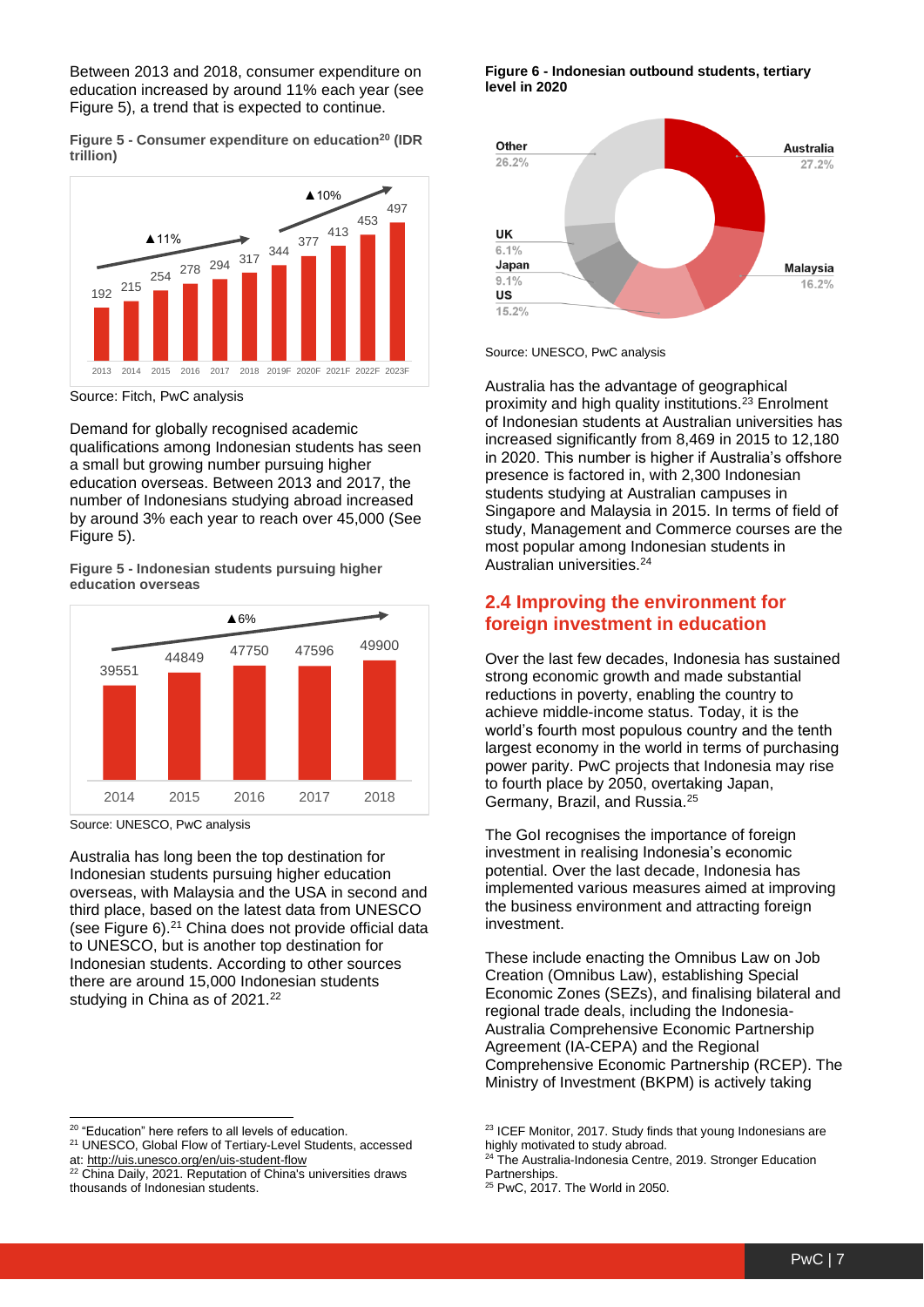Between 2013 and 2018, consumer expenditure on education increased by around 11% each year (see Figure 5), a trend that is expected to continue.

**Figure 5 - Consumer expenditure on education<sup>20</sup> (IDR trillion)**



Source: Fitch, PwC analysis

Demand for globally recognised academic qualifications among Indonesian students has seen a small but growing number pursuing higher education overseas. Between 2013 and 2017, the number of Indonesians studying abroad increased by around 3% each year to reach over 45,000 (See Figure 5).

**Figure 5 - Indonesian students pursuing higher education overseas**



Source: UNESCO, PwC analysis

Australia has long been the top destination for Indonesian students pursuing higher education overseas, with Malaysia and the USA in second and third place, based on the latest data from UNESCO (see Figure 6).<sup>21</sup> China does not provide official data to UNESCO, but is another top destination for Indonesian students. According to other sources there are around 15,000 Indonesian students studying in China as of 2021.<sup>22</sup>

#### **Figure 6 - Indonesian outbound students, tertiary level in 2020**



Source: UNESCO, PwC analysis

Australia has the advantage of geographical proximity and high quality institutions.<sup>23</sup> Enrolment of Indonesian students at Australian universities has increased significantly from 8,469 in 2015 to 12,180 in 2020. This number is higher if Australia's offshore presence is factored in, with 2,300 Indonesian students studying at Australian campuses in Singapore and Malaysia in 2015. In terms of field of study, Management and Commerce courses are the most popular among Indonesian students in Australian universities.<sup>24</sup>

#### **2.4 Improving the environment for foreign investment in education**

Over the last few decades, Indonesia has sustained strong economic growth and made substantial reductions in poverty, enabling the country to achieve middle-income status. Today, it is the world's fourth most populous country and the tenth largest economy in the world in terms of purchasing power parity. PwC projects that Indonesia may rise to fourth place by 2050, overtaking Japan, Germany, Brazil, and Russia.<sup>25</sup>

The GoI recognises the importance of foreign investment in realising Indonesia's economic potential. Over the last decade, Indonesia has implemented various measures aimed at improving the business environment and attracting foreign investment.

These include enacting the Omnibus Law on Job Creation (Omnibus Law), establishing Special Economic Zones (SEZs), and finalising bilateral and regional trade deals, including the Indonesia-Australia Comprehensive Economic Partnership Agreement (IA-CEPA) and the Regional Comprehensive Economic Partnership (RCEP). The Ministry of Investment (BKPM) is actively taking

<sup>&</sup>lt;sup>20</sup> "Education" here refers to all levels of education.

<sup>21</sup> UNESCO, Global Flow of Tertiary-Level Students, accessed

at:<http://uis.unesco.org/en/uis-student-flow>

<sup>&</sup>lt;sup>22</sup> China Daily, 2021. Reputation of China's universities draws thousands of Indonesian students.

<sup>&</sup>lt;sup>23</sup> ICEF Monitor, 2017. Study finds that young Indonesians are highly motivated to study abroad.

The Australia-Indonesia Centre, 2019. Stronger Education **Partnerships** 

<sup>25</sup> PwC, 2017. The World in 2050.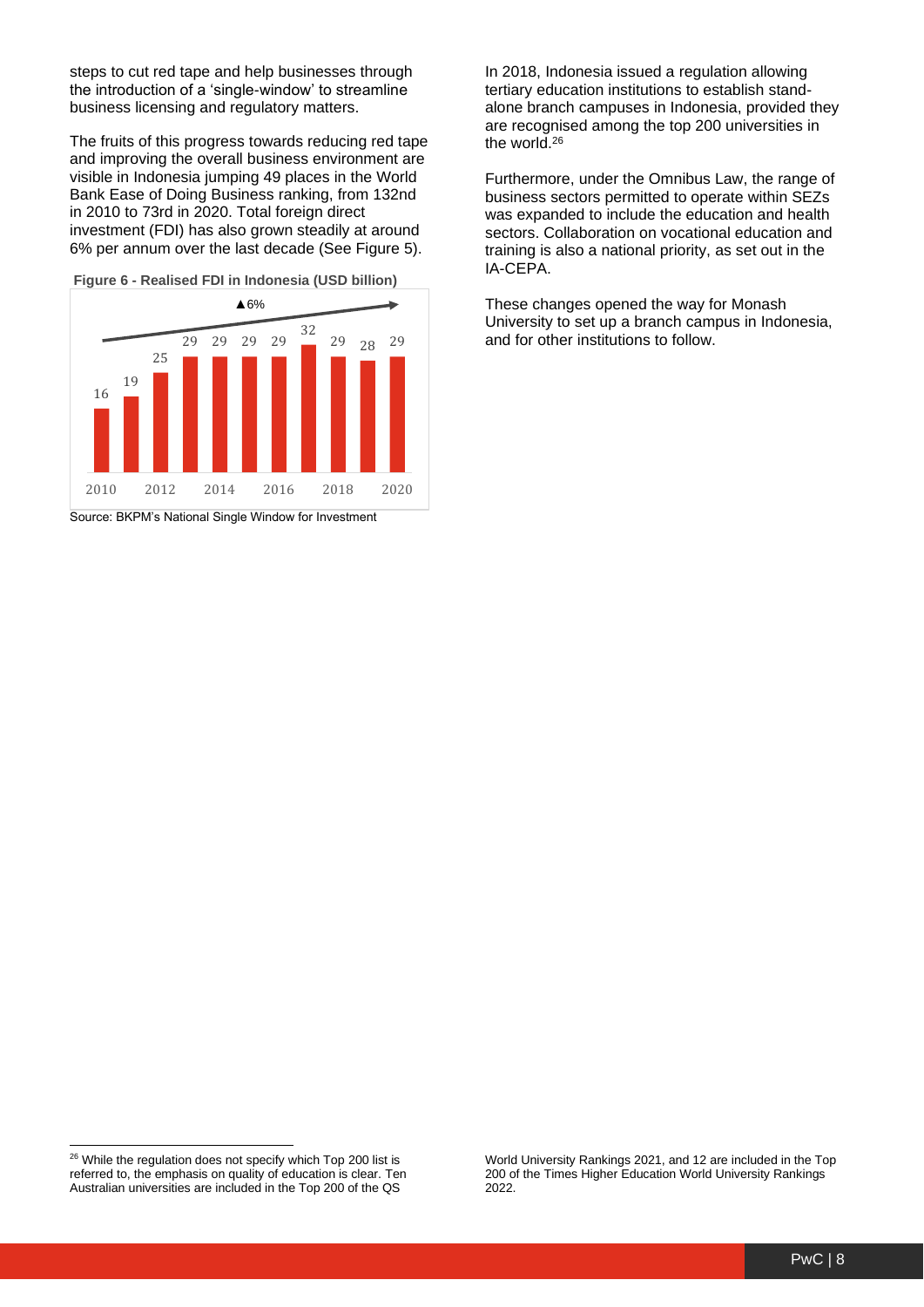steps to cut red tape and help businesses through the introduction of a 'single-window' to streamline business licensing and regulatory matters.

The fruits of this progress towards reducing red tape and improving the overall business environment are visible in Indonesia jumping 49 places in the World Bank Ease of Doing Business ranking, from 132nd in 2010 to 73rd in 2020. Total foreign direct investment (FDI) has also grown steadily at around 6% per annum over the last decade (See Figure 5).

**Figure 6 - Realised FDI in Indonesia (USD billion)**



Source: BKPM's National Single Window for Investment

In 2018, Indonesia issued a regulation allowing tertiary education institutions to establish standalone branch campuses in Indonesia, provided they are recognised among the top 200 universities in the world.<sup>26</sup>

Furthermore, under the Omnibus Law, the range of business sectors permitted to operate within SEZs was expanded to include the education and health sectors. Collaboration on vocational education and training is also a national priority, as set out in the IA-CEPA.

These changes opened the way for Monash University to set up a branch campus in Indonesia, and for other institutions to follow.

World University Rankings 2021, and 12 are included in the Top 200 of the Times Higher Education World University Rankings 2022.

<sup>&</sup>lt;sup>26</sup> While the regulation does not specify which Top 200 list is referred to, the emphasis on quality of education is clear. Ten Australian universities are included in the Top 200 of the QS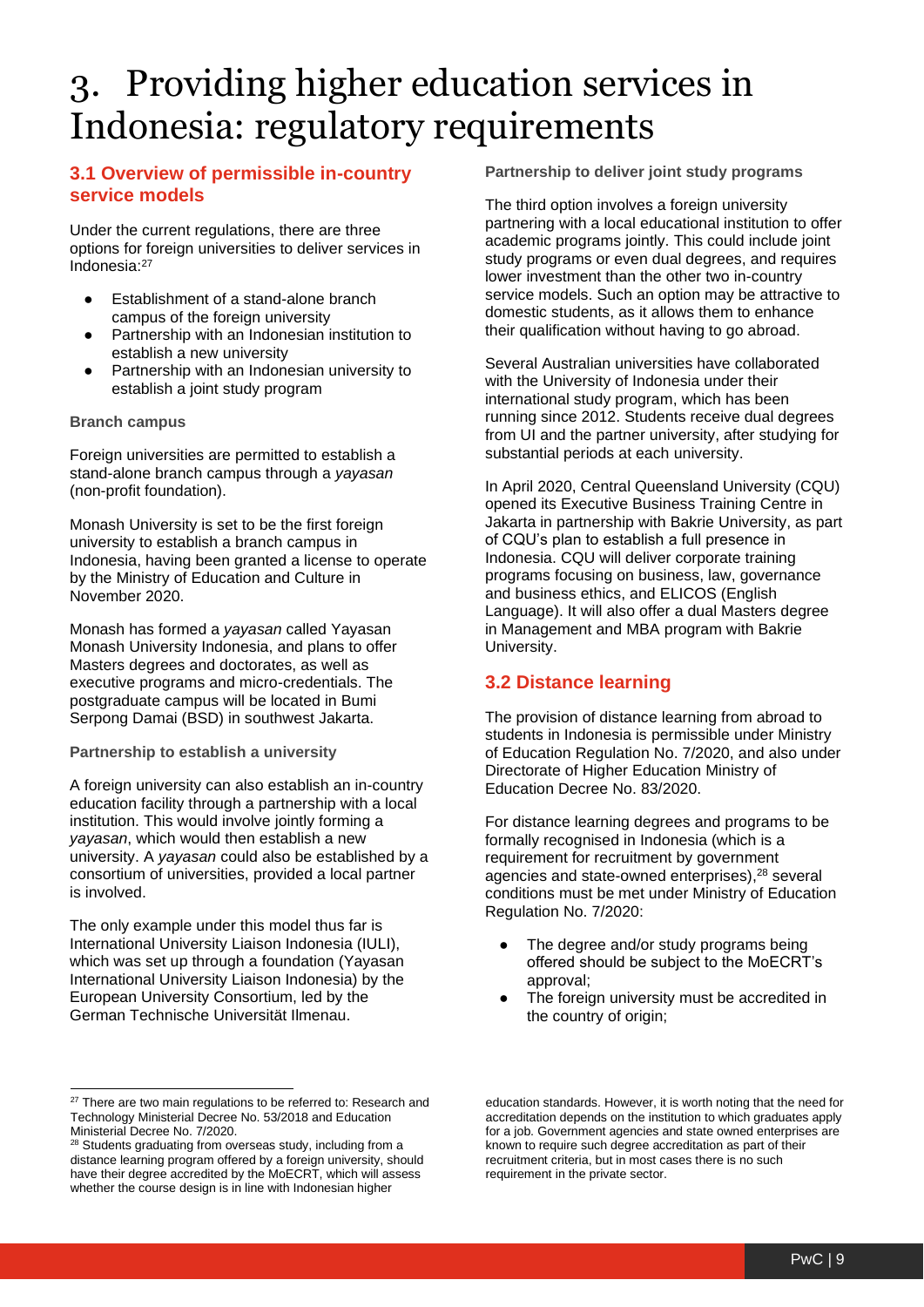### <span id="page-8-0"></span>3. Providing higher education services in Indonesia: regulatory requirements

#### <span id="page-8-1"></span>**3.1 Overview of permissible in-country service models**

Under the current regulations, there are three options for foreign universities to deliver services in Indonesia:<sup>27</sup>

- Establishment of a stand-alone branch campus of the foreign university
- Partnership with an Indonesian institution to establish a new university
- Partnership with an Indonesian university to establish a joint study program

#### **Branch campus**

Foreign universities are permitted to establish a stand-alone branch campus through a *yayasan*  (non-profit foundation).

Monash University is set to be the first foreign university to establish a branch campus in Indonesia, having been granted a license to operate by the Ministry of Education and Culture in November 2020.

Monash has formed a *yayasan* called Yayasan Monash University Indonesia, and plans to offer Masters degrees and doctorates, as well as executive programs and micro-credentials. The postgraduate campus will be located in Bumi Serpong Damai (BSD) in southwest Jakarta.

#### **Partnership to establish a university**

A foreign university can also establish an in-country education facility through a partnership with a local institution. This would involve jointly forming a *yayasan*, which would then establish a new university. A *yayasan* could also be established by a consortium of universities, provided a local partner is involved.

The only example under this model thus far is International University Liaison Indonesia (IULI), which was set up through a foundation (Yayasan International University Liaison Indonesia) by the European University Consortium, led by the German Technische Universität Ilmenau.

**Partnership to deliver joint study programs**

The third option involves a foreign university partnering with a local educational institution to offer academic programs jointly. This could include joint study programs or even dual degrees, and requires lower investment than the other two in-country service models. Such an option may be attractive to domestic students, as it allows them to enhance their qualification without having to go abroad.

Several Australian universities have collaborated with the University of Indonesia under their international study program, which has been running since 2012. Students receive dual degrees from UI and the partner university, after studying for substantial periods at each university.

In April 2020, Central Queensland University (CQU) opened its Executive Business Training Centre in Jakarta in partnership with Bakrie University, as part of CQU's plan to establish a full presence in Indonesia. CQU will deliver corporate training programs focusing on business, law, governance and business ethics, and ELICOS (English Language). It will also offer a dual Masters degree in Management and MBA program with Bakrie University.

#### <span id="page-8-2"></span>**3.2 Distance learning**

The provision of distance learning from abroad to students in Indonesia is permissible under Ministry of Education Regulation No. 7/2020, and also under Directorate of Higher Education Ministry of Education Decree No. 83/2020.

For distance learning degrees and programs to be formally recognised in Indonesia (which is a requirement for recruitment by government agencies and state-owned enterprises), <sup>28</sup> several conditions must be met under Ministry of Education Regulation No. 7/2020:

- The degree and/or study programs being offered should be subject to the MoECRT's approval;
- The foreign university must be accredited in the country of origin;

education standards. However, it is worth noting that the need for accreditation depends on the institution to which graduates apply for a job. Government agencies and state owned enterprises are known to require such degree accreditation as part of their recruitment criteria, but in most cases there is no such requirement in the private sector.

<sup>&</sup>lt;sup>27</sup> There are two main regulations to be referred to: Research and Technology Ministerial Decree No. 53/2018 and Education Ministerial Decree No. 7/2020.

<sup>&</sup>lt;sup>28</sup> Students graduating from overseas study, including from a distance learning program offered by a foreign university, should have their degree accredited by the MoECRT, which will assess whether the course design is in line with Indonesian higher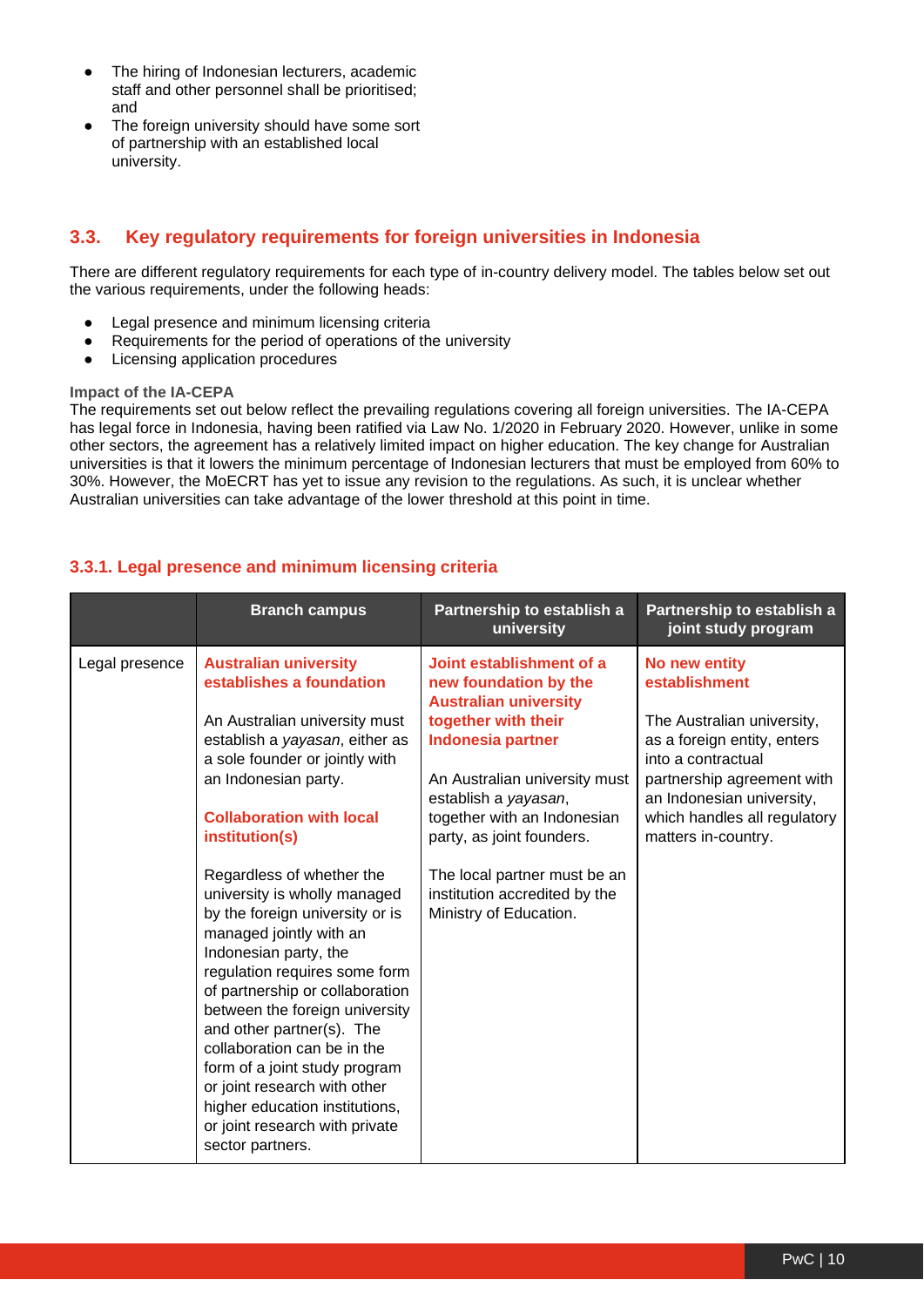- The hiring of Indonesian lecturers, academic staff and other personnel shall be prioritised; and
- The foreign university should have some sort of partnership with an established local university.

#### <span id="page-9-0"></span>**3.3. Key regulatory requirements for foreign universities in Indonesia**

There are different regulatory requirements for each type of in-country delivery model. The tables below set out the various requirements, under the following heads:

- Legal presence and minimum licensing criteria
- Requirements for the period of operations of the university
- Licensing application procedures

#### **Impact of the IA-CEPA**

The requirements set out below reflect the prevailing regulations covering all foreign universities. The IA-CEPA has legal force in Indonesia, having been ratified via Law No. 1/2020 in February 2020. However, unlike in some other sectors, the agreement has a relatively limited impact on higher education. The key change for Australian universities is that it lowers the minimum percentage of Indonesian lecturers that must be employed from 60% to 30%. However, the MoECRT has yet to issue any revision to the regulations. As such, it is unclear whether Australian universities can take advantage of the lower threshold at this point in time.

#### **3.3.1. Legal presence and minimum licensing criteria**

|                | <b>Branch campus</b>                                                                                                                                                                                                                                                                                                                                                                                                                                                                                                                                                                                                                                                                                                      | Partnership to establish a<br>university                                                                                                                                                                                                                                                                                                             | Partnership to establish a<br>joint study program                                                                                                                                                                                   |
|----------------|---------------------------------------------------------------------------------------------------------------------------------------------------------------------------------------------------------------------------------------------------------------------------------------------------------------------------------------------------------------------------------------------------------------------------------------------------------------------------------------------------------------------------------------------------------------------------------------------------------------------------------------------------------------------------------------------------------------------------|------------------------------------------------------------------------------------------------------------------------------------------------------------------------------------------------------------------------------------------------------------------------------------------------------------------------------------------------------|-------------------------------------------------------------------------------------------------------------------------------------------------------------------------------------------------------------------------------------|
| Legal presence | <b>Australian university</b><br>establishes a foundation<br>An Australian university must<br>establish a yayasan, either as<br>a sole founder or jointly with<br>an Indonesian party.<br><b>Collaboration with local</b><br>institution(s)<br>Regardless of whether the<br>university is wholly managed<br>by the foreign university or is<br>managed jointly with an<br>Indonesian party, the<br>regulation requires some form<br>of partnership or collaboration<br>between the foreign university<br>and other partner(s). The<br>collaboration can be in the<br>form of a joint study program<br>or joint research with other<br>higher education institutions,<br>or joint research with private<br>sector partners. | Joint establishment of a<br>new foundation by the<br><b>Australian university</b><br>together with their<br><b>Indonesia partner</b><br>An Australian university must<br>establish a yayasan,<br>together with an Indonesian<br>party, as joint founders.<br>The local partner must be an<br>institution accredited by the<br>Ministry of Education. | No new entity<br>establishment<br>The Australian university,<br>as a foreign entity, enters<br>into a contractual<br>partnership agreement with<br>an Indonesian university,<br>which handles all regulatory<br>matters in-country. |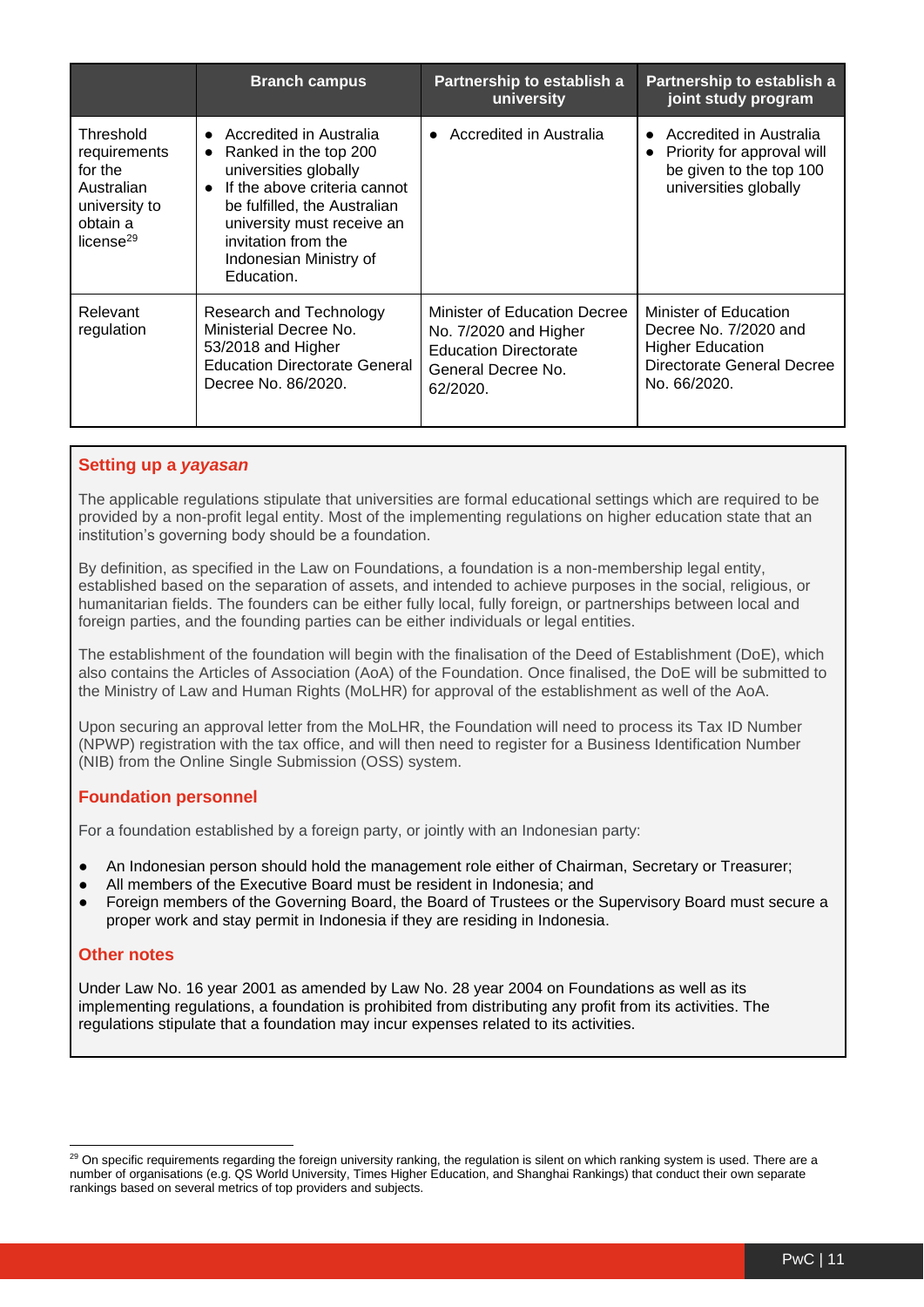|                                                                                                          | <b>Branch campus</b>                                                                                                                                                                                                                                                          | Partnership to establish a<br>university                                                                                | Partnership to establish a<br>joint study program                                                                       |
|----------------------------------------------------------------------------------------------------------|-------------------------------------------------------------------------------------------------------------------------------------------------------------------------------------------------------------------------------------------------------------------------------|-------------------------------------------------------------------------------------------------------------------------|-------------------------------------------------------------------------------------------------------------------------|
| Threshold<br>requirements<br>for the<br>Australian<br>university to<br>obtain a<br>license <sup>29</sup> | Accredited in Australia<br>$\bullet$<br>Ranked in the top 200<br>$\bullet$<br>universities globally<br>If the above criteria cannot<br>$\bullet$<br>be fulfilled, the Australian<br>university must receive an<br>invitation from the<br>Indonesian Ministry of<br>Education. | Accredited in Australia<br>$\bullet$                                                                                    | Accredited in Australia<br>Priority for approval will<br>be given to the top 100<br>universities globally               |
| Relevant<br>regulation                                                                                   | Research and Technology<br>Ministerial Decree No.<br>53/2018 and Higher<br><b>Education Directorate General</b><br>Decree No. 86/2020.                                                                                                                                        | Minister of Education Decree<br>No. 7/2020 and Higher<br><b>Education Directorate</b><br>General Decree No.<br>62/2020. | Minister of Education<br>Decree No. 7/2020 and<br><b>Higher Education</b><br>Directorate General Decree<br>No. 66/2020. |

#### **Setting up a** *yayasan*

The applicable regulations stipulate that universities are formal educational settings which are required to be provided by a non-profit legal entity. Most of the implementing regulations on higher education state that an institution's governing body should be a foundation.

By definition, as specified in the Law on Foundations, a foundation is a non-membership legal entity, established based on the separation of assets, and intended to achieve purposes in the social, religious, or humanitarian fields. The founders can be either fully local, fully foreign, or partnerships between local and foreign parties, and the founding parties can be either individuals or legal entities.

The establishment of the foundation will begin with the finalisation of the Deed of Establishment (DoE), which also contains the Articles of Association (AoA) of the Foundation. Once finalised, the DoE will be submitted to the Ministry of Law and Human Rights (MoLHR) for approval of the establishment as well of the AoA.

Upon securing an approval letter from the MoLHR, the Foundation will need to process its Tax ID Number (NPWP) registration with the tax office, and will then need to register for a Business Identification Number (NIB) from the Online Single Submission (OSS) system.

#### **Foundation personnel**

For a foundation established by a foreign party, or jointly with an Indonesian party:

- An Indonesian person should hold the management role either of Chairman, Secretary or Treasurer;
- All members of the Executive Board must be resident in Indonesia; and
- Foreign members of the Governing Board, the Board of Trustees or the Supervisory Board must secure a proper work and stay permit in Indonesia if they are residing in Indonesia.

#### **Other notes**

Under Law No. 16 year 2001 as amended by Law No. 28 year 2004 on Foundations as well as its implementing regulations, a foundation is prohibited from distributing any profit from its activities. The regulations stipulate that a foundation may incur expenses related to its activities.

<sup>&</sup>lt;sup>29</sup> On specific requirements regarding the foreign university ranking, the regulation is silent on which ranking system is used. There are a number of organisations (e.g. QS World University, Times Higher Education, and Shanghai Rankings) that conduct their own separate rankings based on several metrics of top providers and subjects.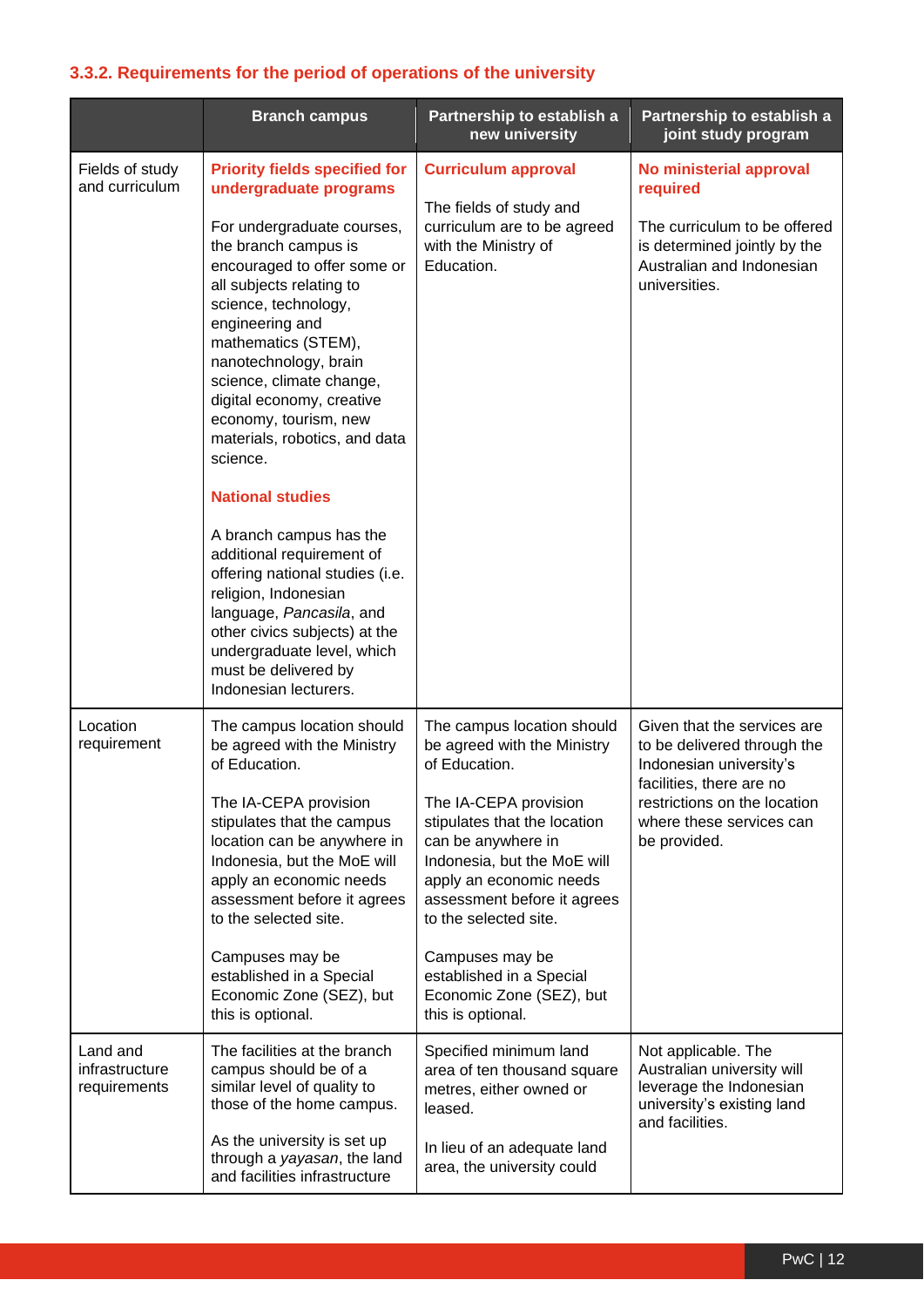#### **3.3.2. Requirements for the period of operations of the university**

|                                            | <b>Branch campus</b>                                                                                                                                                                                                                                                                                                                                                                                                                                                                                                                                                                                                                                                                                | Partnership to establish a<br>new university                                                                                                                                                                                                                                                                                                                                | Partnership to establish a<br>joint study program                                                                                                                                             |
|--------------------------------------------|-----------------------------------------------------------------------------------------------------------------------------------------------------------------------------------------------------------------------------------------------------------------------------------------------------------------------------------------------------------------------------------------------------------------------------------------------------------------------------------------------------------------------------------------------------------------------------------------------------------------------------------------------------------------------------------------------------|-----------------------------------------------------------------------------------------------------------------------------------------------------------------------------------------------------------------------------------------------------------------------------------------------------------------------------------------------------------------------------|-----------------------------------------------------------------------------------------------------------------------------------------------------------------------------------------------|
| Fields of study<br>and curriculum          | <b>Priority fields specified for</b><br>undergraduate programs<br>For undergraduate courses,<br>the branch campus is<br>encouraged to offer some or<br>all subjects relating to<br>science, technology,<br>engineering and<br>mathematics (STEM),<br>nanotechnology, brain<br>science, climate change,<br>digital economy, creative<br>economy, tourism, new<br>materials, robotics, and data<br>science.<br><b>National studies</b><br>A branch campus has the<br>additional requirement of<br>offering national studies (i.e.<br>religion, Indonesian<br>language, Pancasila, and<br>other civics subjects) at the<br>undergraduate level, which<br>must be delivered by<br>Indonesian lecturers. | <b>Curriculum approval</b><br>The fields of study and<br>curriculum are to be agreed<br>with the Ministry of<br>Education.                                                                                                                                                                                                                                                  | No ministerial approval<br>required<br>The curriculum to be offered<br>is determined jointly by the<br>Australian and Indonesian<br>universities.                                             |
| Location<br>requirement                    | The campus location should<br>be agreed with the Ministry<br>of Education.<br>The IA-CEPA provision<br>stipulates that the campus<br>location can be anywhere in<br>Indonesia, but the MoE will<br>apply an economic needs<br>assessment before it agrees<br>to the selected site.<br>Campuses may be<br>established in a Special<br>Economic Zone (SEZ), but<br>this is optional.                                                                                                                                                                                                                                                                                                                  | The campus location should<br>be agreed with the Ministry<br>of Education.<br>The IA-CEPA provision<br>stipulates that the location<br>can be anywhere in<br>Indonesia, but the MoE will<br>apply an economic needs<br>assessment before it agrees<br>to the selected site.<br>Campuses may be<br>established in a Special<br>Economic Zone (SEZ), but<br>this is optional. | Given that the services are<br>to be delivered through the<br>Indonesian university's<br>facilities, there are no<br>restrictions on the location<br>where these services can<br>be provided. |
| Land and<br>infrastructure<br>requirements | The facilities at the branch<br>campus should be of a<br>similar level of quality to<br>those of the home campus.<br>As the university is set up<br>through a yayasan, the land<br>and facilities infrastructure                                                                                                                                                                                                                                                                                                                                                                                                                                                                                    | Specified minimum land<br>area of ten thousand square<br>metres, either owned or<br>leased.<br>In lieu of an adequate land<br>area, the university could                                                                                                                                                                                                                    | Not applicable. The<br>Australian university will<br>leverage the Indonesian<br>university's existing land<br>and facilities.                                                                 |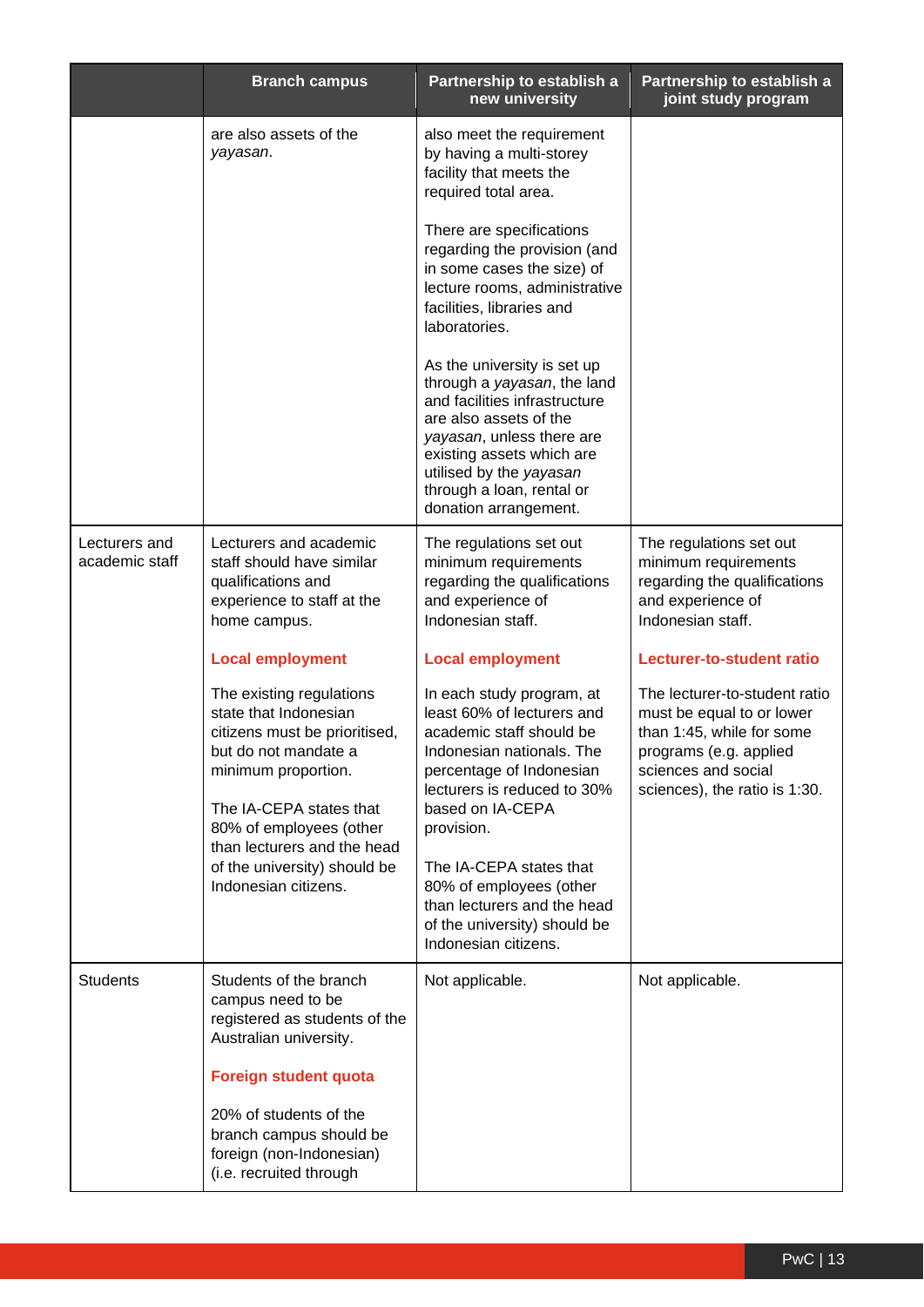|                                 | <b>Branch campus</b>                                                                                                                                                                                                                                                           | Partnership to establish a<br>new university                                                                                                                                                                                                                                                                                                               | Partnership to establish a<br>joint study program                                                                                                                         |
|---------------------------------|--------------------------------------------------------------------------------------------------------------------------------------------------------------------------------------------------------------------------------------------------------------------------------|------------------------------------------------------------------------------------------------------------------------------------------------------------------------------------------------------------------------------------------------------------------------------------------------------------------------------------------------------------|---------------------------------------------------------------------------------------------------------------------------------------------------------------------------|
|                                 | are also assets of the<br>yayasan.                                                                                                                                                                                                                                             | also meet the requirement<br>by having a multi-storey<br>facility that meets the<br>required total area.                                                                                                                                                                                                                                                   |                                                                                                                                                                           |
|                                 |                                                                                                                                                                                                                                                                                | There are specifications<br>regarding the provision (and<br>in some cases the size) of<br>lecture rooms, administrative<br>facilities, libraries and<br>laboratories.                                                                                                                                                                                      |                                                                                                                                                                           |
|                                 |                                                                                                                                                                                                                                                                                | As the university is set up<br>through a yayasan, the land<br>and facilities infrastructure<br>are also assets of the<br>yayasan, unless there are<br>existing assets which are<br>utilised by the yayasan<br>through a loan, rental or<br>donation arrangement.                                                                                           |                                                                                                                                                                           |
| Lecturers and<br>academic staff | Lecturers and academic<br>staff should have similar<br>qualifications and<br>experience to staff at the<br>home campus.                                                                                                                                                        | The regulations set out<br>minimum requirements<br>regarding the qualifications<br>and experience of<br>Indonesian staff.                                                                                                                                                                                                                                  | The regulations set out<br>minimum requirements<br>regarding the qualifications<br>and experience of<br>Indonesian staff.                                                 |
|                                 | <b>Local employment</b>                                                                                                                                                                                                                                                        | <b>Local employment</b>                                                                                                                                                                                                                                                                                                                                    | Lecturer-to-student ratio                                                                                                                                                 |
|                                 | The existing regulations<br>state that Indonesian<br>citizens must be prioritised,<br>but do not mandate a<br>minimum proportion.<br>The IA-CEPA states that<br>80% of employees (other<br>than lecturers and the head<br>of the university) should be<br>Indonesian citizens. | In each study program, at<br>least 60% of lecturers and<br>academic staff should be<br>Indonesian nationals. The<br>percentage of Indonesian<br>lecturers is reduced to 30%<br>based on IA-CEPA<br>provision.<br>The IA-CEPA states that<br>80% of employees (other<br>than lecturers and the head<br>of the university) should be<br>Indonesian citizens. | The lecturer-to-student ratio<br>must be equal to or lower<br>than 1:45, while for some<br>programs (e.g. applied<br>sciences and social<br>sciences), the ratio is 1:30. |
| <b>Students</b>                 | Students of the branch<br>campus need to be<br>registered as students of the<br>Australian university.                                                                                                                                                                         | Not applicable.                                                                                                                                                                                                                                                                                                                                            | Not applicable.                                                                                                                                                           |
|                                 | <b>Foreign student quota</b>                                                                                                                                                                                                                                                   |                                                                                                                                                                                                                                                                                                                                                            |                                                                                                                                                                           |
|                                 | 20% of students of the<br>branch campus should be<br>foreign (non-Indonesian)<br>(i.e. recruited through                                                                                                                                                                       |                                                                                                                                                                                                                                                                                                                                                            |                                                                                                                                                                           |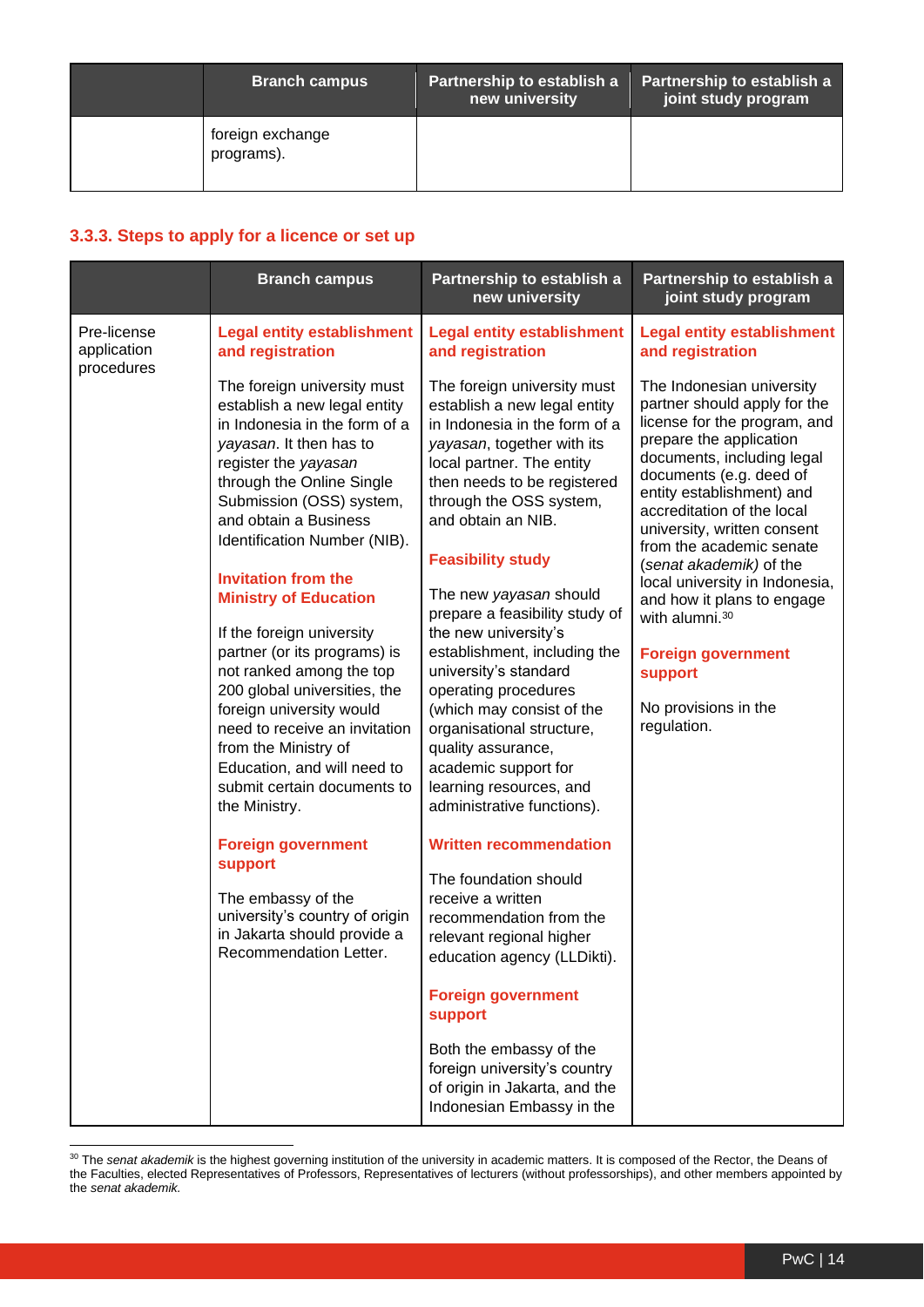| <b>Branch campus</b>           | Partnership to establish a<br>new university | Partnership to establish a<br>joint study program |
|--------------------------------|----------------------------------------------|---------------------------------------------------|
| foreign exchange<br>programs). |                                              |                                                   |

#### **3.3.3. Steps to apply for a licence or set up**

|                                          | <b>Branch campus</b>                                                                                                                                                                                                                                                                                                                                                                                                                                                                                                                                                                                                         | Partnership to establish a<br>new university                                                                                                                                                                                                                                                                                                                                                                                                                                                                                                                                                              | Partnership to establish a<br>joint study program                                                                                                                                                                                                                                                                                                                                                                                                                                                                  |
|------------------------------------------|------------------------------------------------------------------------------------------------------------------------------------------------------------------------------------------------------------------------------------------------------------------------------------------------------------------------------------------------------------------------------------------------------------------------------------------------------------------------------------------------------------------------------------------------------------------------------------------------------------------------------|-----------------------------------------------------------------------------------------------------------------------------------------------------------------------------------------------------------------------------------------------------------------------------------------------------------------------------------------------------------------------------------------------------------------------------------------------------------------------------------------------------------------------------------------------------------------------------------------------------------|--------------------------------------------------------------------------------------------------------------------------------------------------------------------------------------------------------------------------------------------------------------------------------------------------------------------------------------------------------------------------------------------------------------------------------------------------------------------------------------------------------------------|
| Pre-license<br>application<br>procedures | <b>Legal entity establishment</b><br>and registration                                                                                                                                                                                                                                                                                                                                                                                                                                                                                                                                                                        | <b>Legal entity establishment</b><br>and registration                                                                                                                                                                                                                                                                                                                                                                                                                                                                                                                                                     | <b>Legal entity establishment</b><br>and registration                                                                                                                                                                                                                                                                                                                                                                                                                                                              |
|                                          | The foreign university must<br>establish a new legal entity<br>in Indonesia in the form of a<br>yayasan. It then has to<br>register the yayasan<br>through the Online Single<br>Submission (OSS) system,<br>and obtain a Business<br>Identification Number (NIB).<br><b>Invitation from the</b><br><b>Ministry of Education</b><br>If the foreign university<br>partner (or its programs) is<br>not ranked among the top<br>200 global universities, the<br>foreign university would<br>need to receive an invitation<br>from the Ministry of<br>Education, and will need to<br>submit certain documents to<br>the Ministry. | The foreign university must<br>establish a new legal entity<br>in Indonesia in the form of a<br>yayasan, together with its<br>local partner. The entity<br>then needs to be registered<br>through the OSS system,<br>and obtain an NIB.<br><b>Feasibility study</b><br>The new yayasan should<br>prepare a feasibility study of<br>the new university's<br>establishment, including the<br>university's standard<br>operating procedures<br>(which may consist of the<br>organisational structure,<br>quality assurance,<br>academic support for<br>learning resources, and<br>administrative functions). | The Indonesian university<br>partner should apply for the<br>license for the program, and<br>prepare the application<br>documents, including legal<br>documents (e.g. deed of<br>entity establishment) and<br>accreditation of the local<br>university, written consent<br>from the academic senate<br>(senat akademik) of the<br>local university in Indonesia,<br>and how it plans to engage<br>with alumni. <sup>30</sup><br><b>Foreign government</b><br><b>support</b><br>No provisions in the<br>regulation. |
|                                          | <b>Foreign government</b><br>support<br>The embassy of the<br>university's country of origin<br>in Jakarta should provide a<br>Recommendation Letter.                                                                                                                                                                                                                                                                                                                                                                                                                                                                        | <b>Written recommendation</b><br>The foundation should<br>receive a written<br>recommendation from the<br>relevant regional higher<br>education agency (LLDikti).                                                                                                                                                                                                                                                                                                                                                                                                                                         |                                                                                                                                                                                                                                                                                                                                                                                                                                                                                                                    |
|                                          |                                                                                                                                                                                                                                                                                                                                                                                                                                                                                                                                                                                                                              | <b>Foreign government</b><br>support<br>Both the embassy of the<br>foreign university's country<br>of origin in Jakarta, and the<br>Indonesian Embassy in the                                                                                                                                                                                                                                                                                                                                                                                                                                             |                                                                                                                                                                                                                                                                                                                                                                                                                                                                                                                    |

<sup>30</sup> The *senat akademik* is the highest governing institution of the university in academic matters. It is composed of the Rector, the Deans of the Faculties, elected Representatives of Professors, Representatives of lecturers (without professorships), and other members appointed by the *senat akademik.*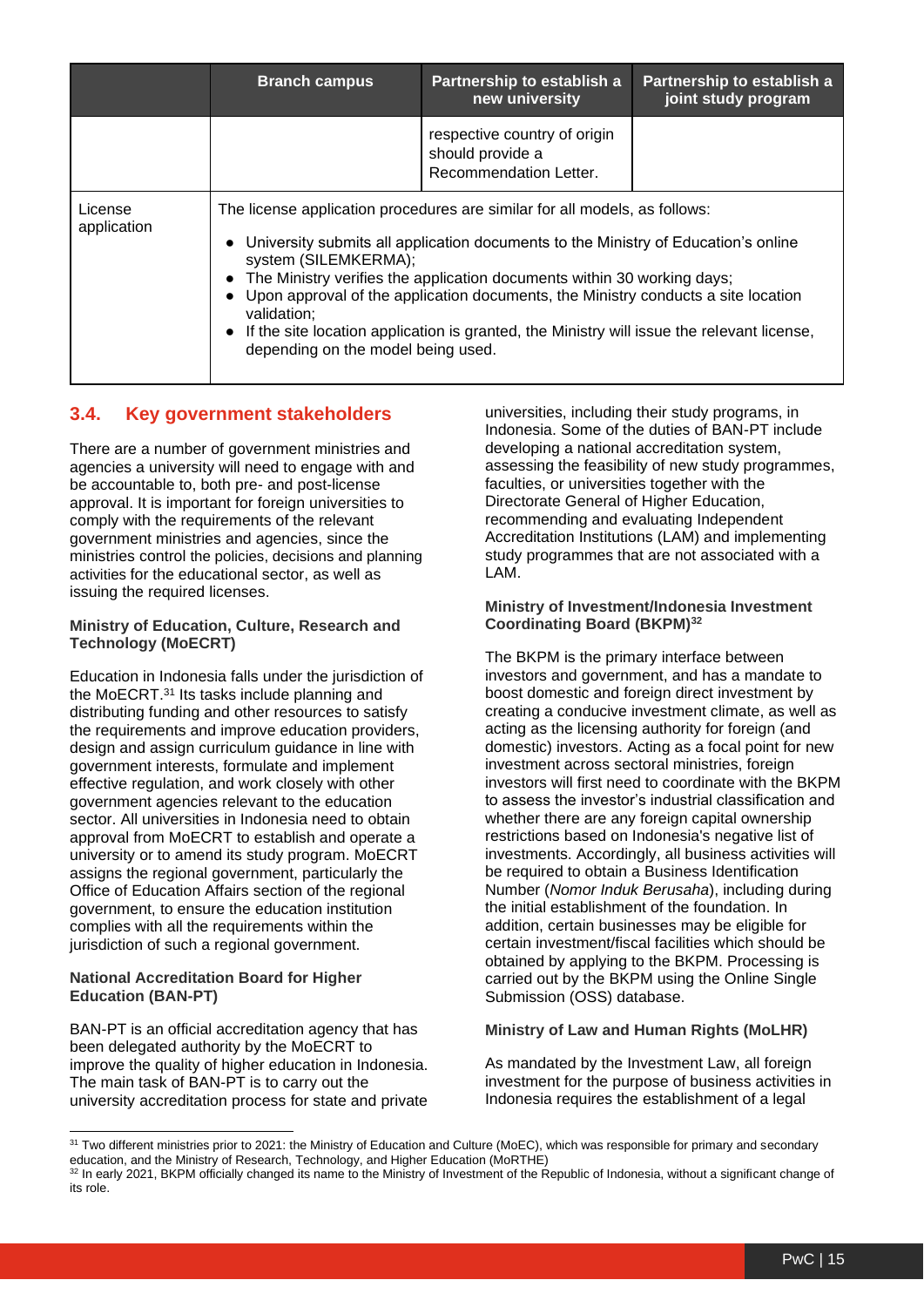|                        | <b>Branch campus</b>                                                                                                                                                                                                                                                                                                                                                                                                                                                                                                                  | Partnership to establish a<br>new university                               | Partnership to establish a<br>joint study program |
|------------------------|---------------------------------------------------------------------------------------------------------------------------------------------------------------------------------------------------------------------------------------------------------------------------------------------------------------------------------------------------------------------------------------------------------------------------------------------------------------------------------------------------------------------------------------|----------------------------------------------------------------------------|---------------------------------------------------|
|                        |                                                                                                                                                                                                                                                                                                                                                                                                                                                                                                                                       | respective country of origin<br>should provide a<br>Recommendation Letter. |                                                   |
| License<br>application | The license application procedures are similar for all models, as follows:<br>University submits all application documents to the Ministry of Education's online<br>$\bullet$<br>system (SILEMKERMA);<br>The Ministry verifies the application documents within 30 working days;<br>Upon approval of the application documents, the Ministry conducts a site location<br>$\bullet$<br>validation;<br>If the site location application is granted, the Ministry will issue the relevant license,<br>depending on the model being used. |                                                                            |                                                   |

#### <span id="page-14-0"></span>**3.4. Key government stakeholders**

There are a number of government ministries and agencies a university will need to engage with and be accountable to, both pre- and post-license approval. It is important for foreign universities to comply with the requirements of the relevant government ministries and agencies, since the ministries control the policies, decisions and planning activities for the educational sector, as well as issuing the required licenses.

#### **Ministry of Education, Culture, Research and Technology (MoECRT)**

Education in Indonesia falls under the jurisdiction of the MoECRT.<sup>31</sup> Its tasks include planning and distributing funding and other resources to satisfy the requirements and improve education providers, design and assign curriculum guidance in line with government interests, formulate and implement effective regulation, and work closely with other government agencies relevant to the education sector. All universities in Indonesia need to obtain approval from MoECRT to establish and operate a university or to amend its study program. MoECRT assigns the regional government, particularly the Office of Education Affairs section of the regional government, to ensure the education institution complies with all the requirements within the jurisdiction of such a regional government.

#### **National Accreditation Board for Higher Education (BAN-PT)**

BAN-PT is an official accreditation agency that has been delegated authority by the MoECRT to improve the quality of higher education in Indonesia. The main task of BAN-PT is to carry out the university accreditation process for state and private

universities, including their study programs, in Indonesia. Some of the duties of BAN-PT include developing a national accreditation system, assessing the feasibility of new study programmes, faculties, or universities together with the Directorate General of Higher Education, recommending and evaluating Independent Accreditation Institutions (LAM) and implementing study programmes that are not associated with a LAM.

#### **Ministry of Investment/Indonesia Investment Coordinating Board (BKPM)<sup>32</sup>**

The BKPM is the primary interface between investors and government, and has a mandate to boost domestic and foreign direct investment by creating a conducive investment climate, as well as acting as the licensing authority for foreign (and domestic) investors. Acting as a focal point for new investment across sectoral ministries, foreign investors will first need to coordinate with the BKPM to assess the investor's industrial classification and whether there are any foreign capital ownership restrictions based on Indonesia's negative list of investments. Accordingly, all business activities will be required to obtain a Business Identification Number (*Nomor Induk Berusaha*), including during the initial establishment of the foundation. In addition, certain businesses may be eligible for certain investment/fiscal facilities which should be obtained by applying to the BKPM. Processing is carried out by the BKPM using the Online Single Submission (OSS) database.

#### **Ministry of Law and Human Rights (MoLHR)**

As mandated by the Investment Law, all foreign investment for the purpose of business activities in Indonesia requires the establishment of a legal

<sup>&</sup>lt;sup>31</sup> Two different ministries prior to 2021: the Ministry of Education and Culture (MoEC), which was responsible for primary and secondary education, and the Ministry of Research, Technology, and Higher Education (MoRTHE)

<sup>32</sup> In early 2021, BKPM officially changed its name to the Ministry of Investment of the Republic of Indonesia, without a significant change of its role.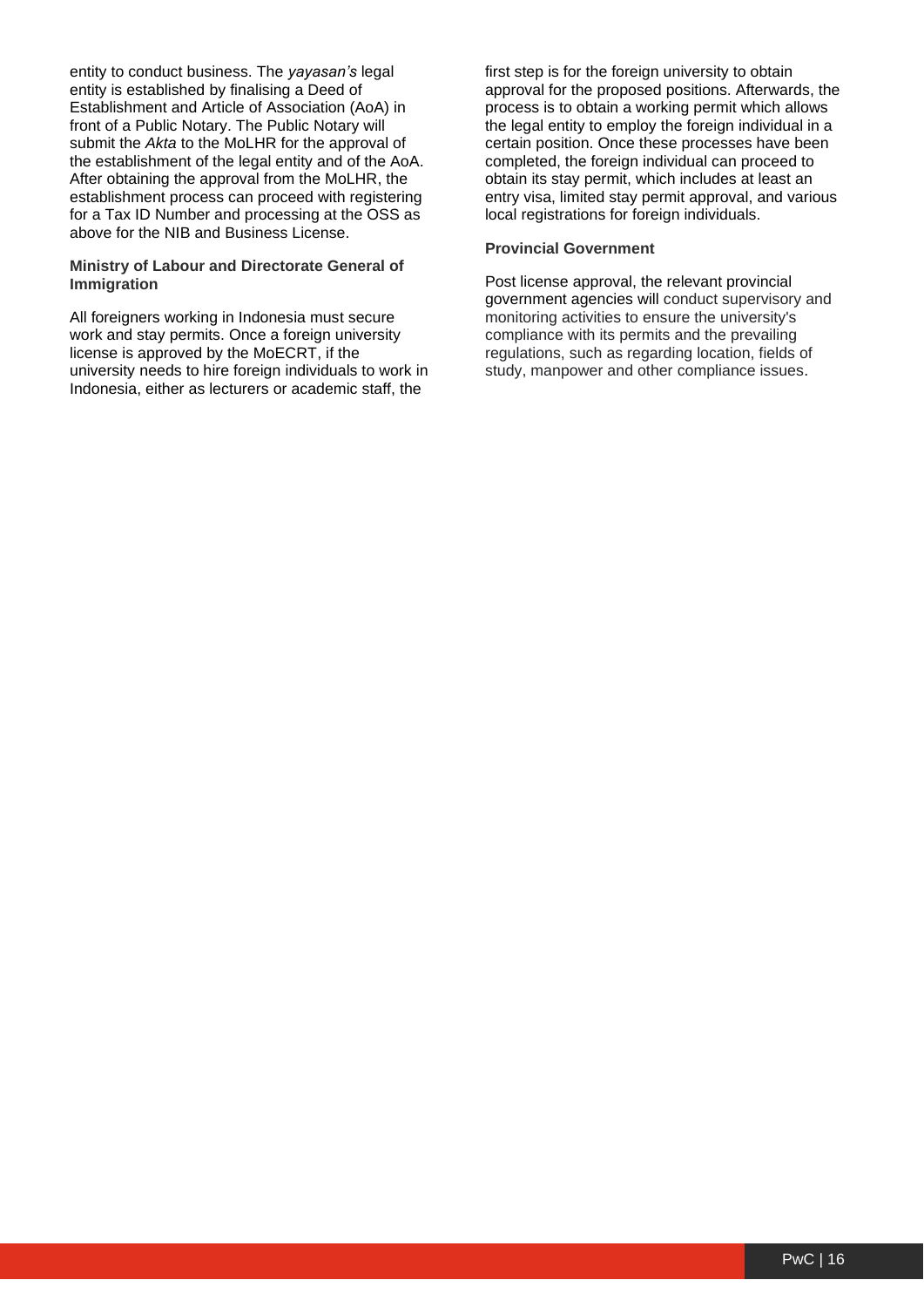entity to conduct business. The *yayasan's* legal entity is established by finalising a Deed of Establishment and Article of Association (AoA) in front of a Public Notary. The Public Notary will submit the *Akta* to the MoLHR for the approval of the establishment of the legal entity and of the AoA. After obtaining the approval from the MoLHR, the establishment process can proceed with registering for a Tax ID Number and processing at the OSS as above for the NIB and Business License.

#### **Ministry of Labour and Directorate General of Immigration**

All foreigners working in Indonesia must secure work and stay permits. Once a foreign university license is approved by the MoECRT, if the university needs to hire foreign individuals to work in Indonesia, either as lecturers or academic staff, the

first step is for the foreign university to obtain approval for the proposed positions. Afterwards, the process is to obtain a working permit which allows the legal entity to employ the foreign individual in a certain position. Once these processes have been completed, the foreign individual can proceed to obtain its stay permit, which includes at least an entry visa, limited stay permit approval, and various local registrations for foreign individuals.

#### **Provincial Government**

Post license approval, the relevant provincial government agencies will conduct supervisory and monitoring activities to ensure the university's compliance with its permits and the prevailing regulations, such as regarding location, fields of study, manpower and other compliance issues.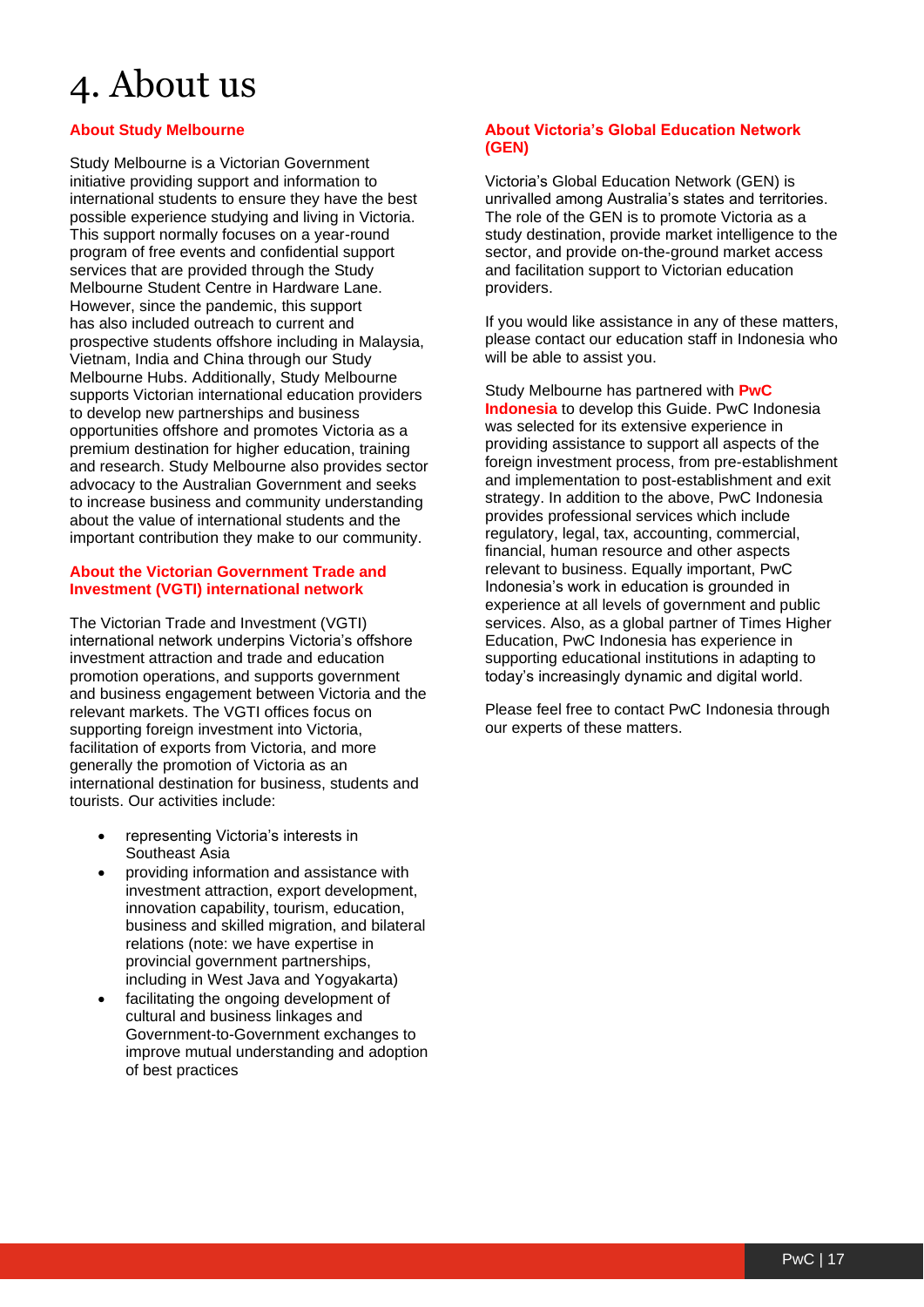## <span id="page-16-0"></span>4. About us

#### **About Study Melbourne**

Study Melbourne is a Victorian Government initiative providing support and information to international students to ensure they have the best possible experience studying and living in Victoria. This support normally focuses on a year-round program of free events and confidential support services that are provided through the Study Melbourne Student Centre in Hardware Lane. However, since the pandemic, this support has also included outreach to current and prospective students offshore including in Malaysia, Vietnam, India and China through our Study Melbourne Hubs. Additionally, Study Melbourne supports Victorian international education providers to develop new partnerships and business opportunities offshore and promotes Victoria as a premium destination for higher education, training and research. Study Melbourne also provides sector advocacy to the Australian Government and seeks to increase business and community understanding about the value of international students and the important contribution they make to our community.

#### **About the Victorian Government Trade and Investment (VGTI) international network**

The Victorian Trade and Investment (VGTI) international network underpins Victoria's offshore investment attraction and trade and education promotion operations, and supports government and business engagement between Victoria and the relevant markets. The VGTI offices focus on supporting foreign investment into Victoria, facilitation of exports from Victoria, and more generally the promotion of Victoria as an international destination for business, students and tourists. Our activities include:

- representing Victoria's interests in Southeast Asia
- providing information and assistance with investment attraction, export development, innovation capability, tourism, education, business and skilled migration, and bilateral relations (note: we have expertise in provincial government partnerships, including in West Java and Yogyakarta)
- facilitating the ongoing development of cultural and business linkages and Government-to-Government exchanges to improve mutual understanding and adoption of best practices

#### **About Victoria's Global Education Network (GEN)**

Victoria's Global Education Network (GEN) is unrivalled among Australia's states and territories. The role of the GEN is to promote Victoria as a study destination, provide market intelligence to the sector, and provide on-the-ground market access and facilitation support to Victorian education providers.

If you would like assistance in any of these matters, please contact our education staff in Indonesia who will be able to assist you.

Study Melbourne has partnered with **PwC Indonesia** to develop this Guide. PwC Indonesia was selected for its extensive experience in providing assistance to support all aspects of the foreign investment process, from pre-establishment and implementation to post-establishment and exit strategy. In addition to the above, PwC Indonesia provides professional services which include regulatory, legal, tax, accounting, commercial, financial, human resource and other aspects relevant to business. Equally important, PwC Indonesia's work in education is grounded in experience at all levels of government and public services. Also, as a global partner of Times Higher Education, PwC Indonesia has experience in supporting educational institutions in adapting to today's increasingly dynamic and digital world.

Please feel free to contact PwC Indonesia through our experts of these matters.